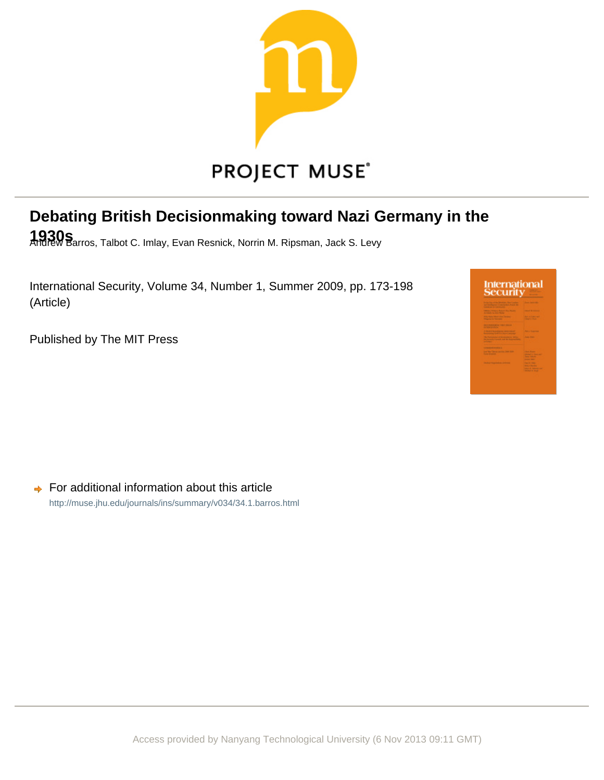

# **Debating British Decisionmaking toward Nazi Germany in the**

**1930s** Andrew Barros, Talbot C. Imlay, Evan Resnick, Norrin M. Ripsman, Jack S. Levy

International Security, Volume 34, Number 1, Summer 2009, pp. 173-198 (Article)

Published by The MIT Press



 $\rightarrow$  For additional information about this article <http://muse.jhu.edu/journals/ins/summary/v034/34.1.barros.html>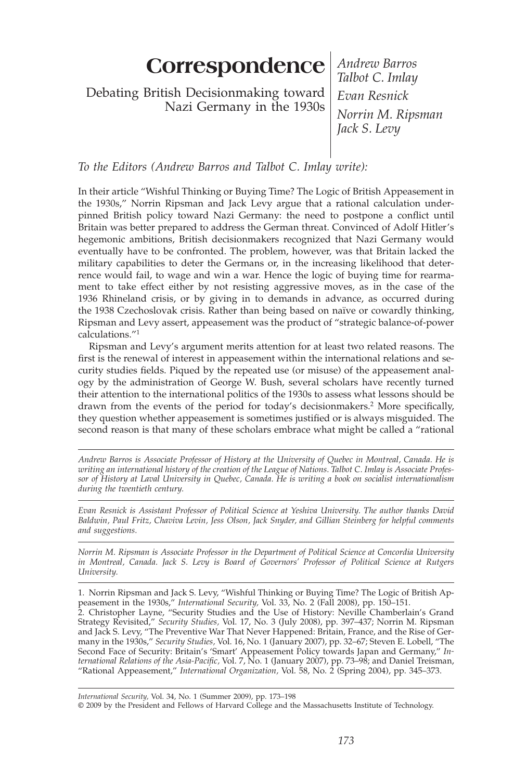# **Correspondence** *Andrew Barros*

Debating British Decisionmaking toward Nazi Germany in the 1930s

*Talbot C. Imlay Evan Resnick Norrin M. Ripsman Jack S. Levy*

# *To the Editors (Andrew Barros and Talbot C. Imlay write):*

In their article "Wishful Thinking or Buying Time? The Logic of British Appeasement in the 1930s," Norrin Ripsman and Jack Levy argue that a rational calculation underpinned British policy toward Nazi Germany: the need to postpone a conflict until Britain was better prepared to address the German threat. Convinced of Adolf Hitler's hegemonic ambitions, British decisionmakers recognized that Nazi Germany would eventually have to be confronted. The problem, however, was that Britain lacked the military capabilities to deter the Germans or, in the increasing likelihood that deterrence would fail, to wage and win a war. Hence the logic of buying time for rearmament to take effect either by not resisting aggressive moves, as in the case of the 1936 Rhineland crisis, or by giving in to demands in advance, as occurred during the 1938 Czechoslovak crisis. Rather than being based on naïve or cowardly thinking, Ripsman and Levy assert, appeasement was the product of "strategic balance-of-power calculations."1

Ripsman and Levy's argument merits attention for at least two related reasons. The first is the renewal of interest in appeasement within the international relations and security studies fields. Piqued by the repeated use (or misuse) of the appeasement analogy by the administration of George W. Bush, several scholars have recently turned their attention to the international politics of the 1930s to assess what lessons should be drawn from the events of the period for today's decisionmakers.<sup>2</sup> More specifically, they question whether appeasement is sometimes justified or is always misguided. The second reason is that many of these scholars embrace what might be called a "rational

*Andrew Barros is Associate Professor of History at the University of Quebec in Montreal, Canada. He is writing an international history of the creation of the League of Nations. Talbot C. Imlay is Associate Professor of History at Laval University in Quebec, Canada. He is writing a book on socialist internationalism during the twentieth century.*

*Evan Resnick is Assistant Professor of Political Science at Yeshiva University. The author thanks David Baldwin, Paul Fritz, Chaviva Levin, Jess Olson, Jack Snyder, and Gillian Steinberg for helpful comments and suggestions.*

*Norrin M. Ripsman is Associate Professor in the Department of Political Science at Concordia University in Montreal, Canada. Jack S. Levy is Board of Governors' Professor of Political Science at Rutgers University.*

1. Norrin Ripsman and Jack S. Levy, "Wishful Thinking or Buying Time? The Logic of British Appeasement in the 1930s," *International Security,* Vol. 33, No. 2 (Fall 2008), pp. 150–151. 2. Christopher Layne, "Security Studies and the Use of History: Neville Chamberlain's Grand Strategy Revisited," *Security Studies,* Vol. 17, No. 3 (July 2008), pp. 397–437; Norrin M. Ripsman and Jack S. Levy, "The Preventive War That Never Happened: Britain, France, and the Rise of Germany in the 1930s," *Security Studies,* Vol. 16, No. 1 (January 2007), pp. 32–67; Steven E. Lobell, "The Second Face of Security: Britain's 'Smart' Appeasement Policy towards Japan and Germany," *In*ternational Relations of the Asia-Pacific, Vol. 7, No. 1 (January 2007), pp. 73–98; and Daniel Treisman, "Rational Appeasement," *International Organization,* Vol. 58, No. 2 (Spring 2004), pp. 345–373.

*International Security,* Vol. 34, No. 1 (Summer 2009), pp. 173–198 © 2009 by the President and Fellows of Harvard College and the Massachusetts Institute of Technology.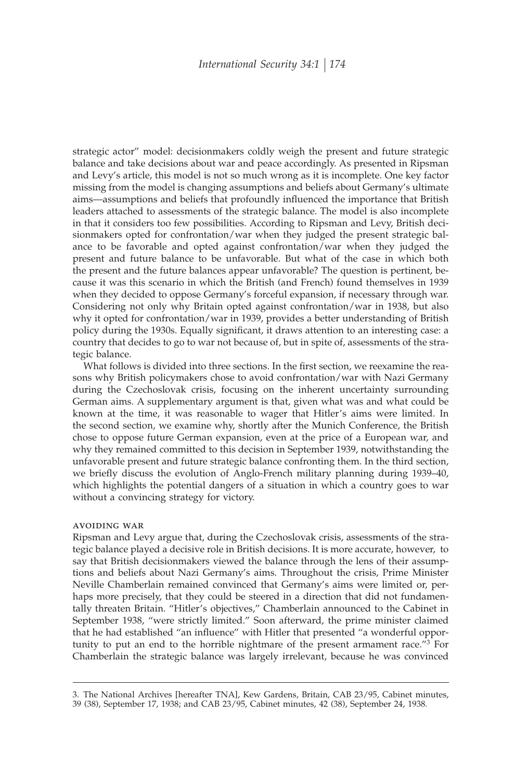strategic actor" model: decisionmakers coldly weigh the present and future strategic balance and take decisions about war and peace accordingly. As presented in Ripsman and Levy's article, this model is not so much wrong as it is incomplete. One key factor missing from the model is changing assumptions and beliefs about Germany's ultimate aims—assumptions and beliefs that profoundly influenced the importance that British leaders attached to assessments of the strategic balance. The model is also incomplete in that it considers too few possibilities. According to Ripsman and Levy, British decisionmakers opted for confrontation/war when they judged the present strategic balance to be favorable and opted against confrontation/war when they judged the present and future balance to be unfavorable. But what of the case in which both the present and the future balances appear unfavorable? The question is pertinent, because it was this scenario in which the British (and French) found themselves in 1939 when they decided to oppose Germany's forceful expansion, if necessary through war. Considering not only why Britain opted against confrontation/war in 1938, but also why it opted for confrontation/war in 1939, provides a better understanding of British policy during the 1930s. Equally significant, it draws attention to an interesting case: a country that decides to go to war not because of, but in spite of, assessments of the strategic balance.

What follows is divided into three sections. In the first section, we reexamine the reasons why British policymakers chose to avoid confrontation/war with Nazi Germany during the Czechoslovak crisis, focusing on the inherent uncertainty surrounding German aims. A supplementary argument is that, given what was and what could be known at the time, it was reasonable to wager that Hitler's aims were limited. In the second section, we examine why, shortly after the Munich Conference, the British chose to oppose future German expansion, even at the price of a European war, and why they remained committed to this decision in September 1939, notwithstanding the unfavorable present and future strategic balance confronting them. In the third section, we briefly discuss the evolution of Anglo-French military planning during 1939–40, which highlights the potential dangers of a situation in which a country goes to war without a convincing strategy for victory.

#### avoiding war

Ripsman and Levy argue that, during the Czechoslovak crisis, assessments of the strategic balance played a decisive role in British decisions. It is more accurate, however, to say that British decisionmakers viewed the balance through the lens of their assumptions and beliefs about Nazi Germany's aims. Throughout the crisis, Prime Minister Neville Chamberlain remained convinced that Germany's aims were limited or, perhaps more precisely, that they could be steered in a direction that did not fundamentally threaten Britain. "Hitler's objectives," Chamberlain announced to the Cabinet in September 1938, "were strictly limited." Soon afterward, the prime minister claimed that he had established "an influence" with Hitler that presented "a wonderful opportunity to put an end to the horrible nightmare of the present armament race."3 For Chamberlain the strategic balance was largely irrelevant, because he was convinced

<sup>3.</sup> The National Archives [hereafter TNA], Kew Gardens, Britain, CAB 23/95, Cabinet minutes, 39 (38), September 17, 1938; and CAB 23/95, Cabinet minutes, 42 (38), September 24, 1938.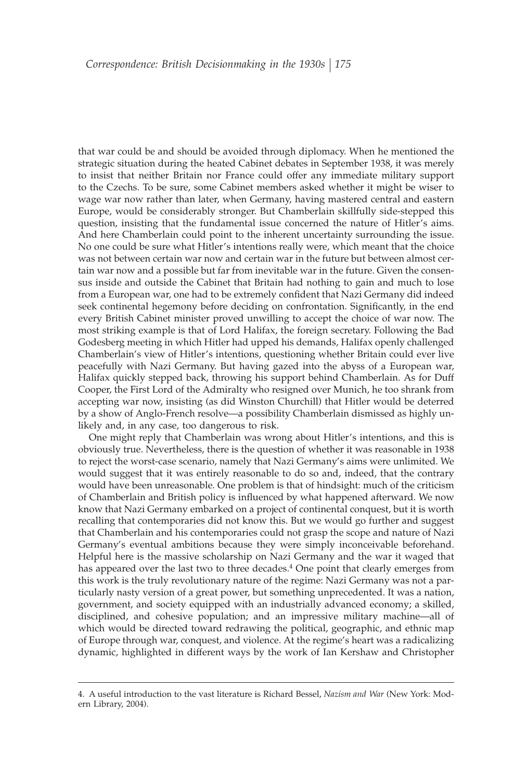that war could be and should be avoided through diplomacy. When he mentioned the strategic situation during the heated Cabinet debates in September 1938, it was merely to insist that neither Britain nor France could offer any immediate military support to the Czechs. To be sure, some Cabinet members asked whether it might be wiser to wage war now rather than later, when Germany, having mastered central and eastern Europe, would be considerably stronger. But Chamberlain skillfully side-stepped this question, insisting that the fundamental issue concerned the nature of Hitler's aims. And here Chamberlain could point to the inherent uncertainty surrounding the issue. No one could be sure what Hitler's intentions really were, which meant that the choice was not between certain war now and certain war in the future but between almost certain war now and a possible but far from inevitable war in the future. Given the consensus inside and outside the Cabinet that Britain had nothing to gain and much to lose from a European war, one had to be extremely confident that Nazi Germany did indeed seek continental hegemony before deciding on confrontation. Significantly, in the end every British Cabinet minister proved unwilling to accept the choice of war now. The most striking example is that of Lord Halifax, the foreign secretary. Following the Bad Godesberg meeting in which Hitler had upped his demands, Halifax openly challenged Chamberlain's view of Hitler's intentions, questioning whether Britain could ever live peacefully with Nazi Germany. But having gazed into the abyss of a European war, Halifax quickly stepped back, throwing his support behind Chamberlain. As for Duff Cooper, the First Lord of the Admiralty who resigned over Munich, he too shrank from accepting war now, insisting (as did Winston Churchill) that Hitler would be deterred by a show of Anglo-French resolve—a possibility Chamberlain dismissed as highly unlikely and, in any case, too dangerous to risk.

One might reply that Chamberlain was wrong about Hitler's intentions, and this is obviously true. Nevertheless, there is the question of whether it was reasonable in 1938 to reject the worst-case scenario, namely that Nazi Germany's aims were unlimited. We would suggest that it was entirely reasonable to do so and, indeed, that the contrary would have been unreasonable. One problem is that of hindsight: much of the criticism of Chamberlain and British policy is influenced by what happened afterward. We now know that Nazi Germany embarked on a project of continental conquest, but it is worth recalling that contemporaries did not know this. But we would go further and suggest that Chamberlain and his contemporaries could not grasp the scope and nature of Nazi Germany's eventual ambitions because they were simply inconceivable beforehand. Helpful here is the massive scholarship on Nazi Germany and the war it waged that has appeared over the last two to three decades.<sup>4</sup> One point that clearly emerges from this work is the truly revolutionary nature of the regime: Nazi Germany was not a particularly nasty version of a great power, but something unprecedented. It was a nation, government, and society equipped with an industrially advanced economy; a skilled, disciplined, and cohesive population; and an impressive military machine—all of which would be directed toward redrawing the political, geographic, and ethnic map of Europe through war, conquest, and violence. At the regime's heart was a radicalizing dynamic, highlighted in different ways by the work of Ian Kershaw and Christopher

<sup>4.</sup> A useful introduction to the vast literature is Richard Bessel, *Nazism and War* (New York: Modern Library, 2004).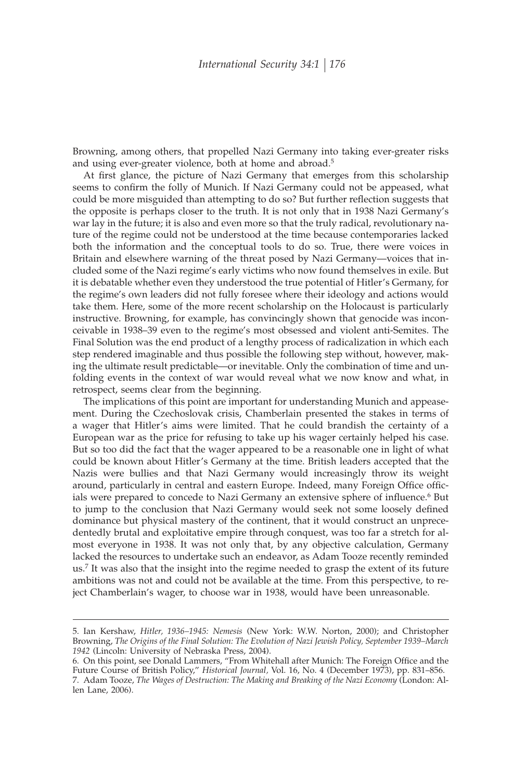Browning, among others, that propelled Nazi Germany into taking ever-greater risks and using ever-greater violence, both at home and abroad.5

At first glance, the picture of Nazi Germany that emerges from this scholarship seems to confirm the folly of Munich. If Nazi Germany could not be appeased, what could be more misguided than attempting to do so? But further reflection suggests that the opposite is perhaps closer to the truth. It is not only that in 1938 Nazi Germany's war lay in the future; it is also and even more so that the truly radical, revolutionary nature of the regime could not be understood at the time because contemporaries lacked both the information and the conceptual tools to do so. True, there were voices in Britain and elsewhere warning of the threat posed by Nazi Germany—voices that included some of the Nazi regime's early victims who now found themselves in exile. But it is debatable whether even they understood the true potential of Hitler's Germany, for the regime's own leaders did not fully foresee where their ideology and actions would take them. Here, some of the more recent scholarship on the Holocaust is particularly instructive. Browning, for example, has convincingly shown that genocide was inconceivable in 1938–39 even to the regime's most obsessed and violent anti-Semites. The Final Solution was the end product of a lengthy process of radicalization in which each step rendered imaginable and thus possible the following step without, however, making the ultimate result predictable—or inevitable. Only the combination of time and unfolding events in the context of war would reveal what we now know and what, in retrospect, seems clear from the beginning.

The implications of this point are important for understanding Munich and appeasement. During the Czechoslovak crisis, Chamberlain presented the stakes in terms of a wager that Hitler's aims were limited. That he could brandish the certainty of a European war as the price for refusing to take up his wager certainly helped his case. But so too did the fact that the wager appeared to be a reasonable one in light of what could be known about Hitler's Germany at the time. British leaders accepted that the Nazis were bullies and that Nazi Germany would increasingly throw its weight around, particularly in central and eastern Europe. Indeed, many Foreign Office officials were prepared to concede to Nazi Germany an extensive sphere of influence.<sup>6</sup> But to jump to the conclusion that Nazi Germany would seek not some loosely defined dominance but physical mastery of the continent, that it would construct an unprecedentedly brutal and exploitative empire through conquest, was too far a stretch for almost everyone in 1938. It was not only that, by any objective calculation, Germany lacked the resources to undertake such an endeavor, as Adam Tooze recently reminded us.7 It was also that the insight into the regime needed to grasp the extent of its future ambitions was not and could not be available at the time. From this perspective, to reject Chamberlain's wager, to choose war in 1938, would have been unreasonable.

<sup>5.</sup> Ian Kershaw, *Hitler, 1936–1945: Nemesis* (New York: W.W. Norton, 2000); and Christopher Browning, *The Origins of the Final Solution: The Evolution of Nazi Jewish Policy, September 1939–March 1942* (Lincoln: University of Nebraska Press, 2004).

<sup>6.</sup> On this point, see Donald Lammers, "From Whitehall after Munich: The Foreign Office and the Future Course of British Policy," *Historical Journal,* Vol. 16, No. 4 (December 1973), pp. 831–856. 7. Adam Tooze, *The Wages of Destruction: The Making and Breaking of the Nazi Economy* (London: Al-

len Lane, 2006).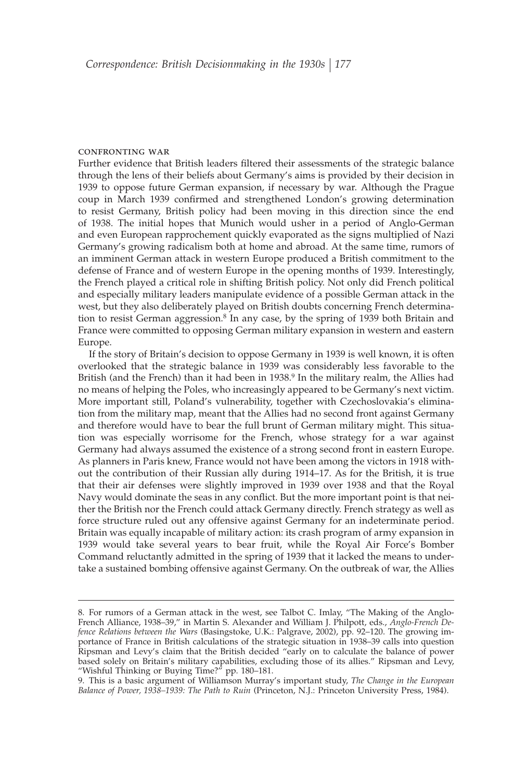#### confronting war

Further evidence that British leaders filtered their assessments of the strategic balance through the lens of their beliefs about Germany's aims is provided by their decision in 1939 to oppose future German expansion, if necessary by war. Although the Prague coup in March 1939 confirmed and strengthened London's growing determination to resist Germany, British policy had been moving in this direction since the end of 1938. The initial hopes that Munich would usher in a period of Anglo-German and even European rapprochement quickly evaporated as the signs multiplied of Nazi Germany's growing radicalism both at home and abroad. At the same time, rumors of an imminent German attack in western Europe produced a British commitment to the defense of France and of western Europe in the opening months of 1939. Interestingly, the French played a critical role in shifting British policy. Not only did French political and especially military leaders manipulate evidence of a possible German attack in the west, but they also deliberately played on British doubts concerning French determination to resist German aggression.<sup>8</sup> In any case, by the spring of 1939 both Britain and France were committed to opposing German military expansion in western and eastern Europe.

If the story of Britain's decision to oppose Germany in 1939 is well known, it is often overlooked that the strategic balance in 1939 was considerably less favorable to the British (and the French) than it had been in 1938.<sup>9</sup> In the military realm, the Allies had no means of helping the Poles, who increasingly appeared to be Germany's next victim. More important still, Poland's vulnerability, together with Czechoslovakia's elimination from the military map, meant that the Allies had no second front against Germany and therefore would have to bear the full brunt of German military might. This situation was especially worrisome for the French, whose strategy for a war against Germany had always assumed the existence of a strong second front in eastern Europe. As planners in Paris knew, France would not have been among the victors in 1918 without the contribution of their Russian ally during 1914–17. As for the British, it is true that their air defenses were slightly improved in 1939 over 1938 and that the Royal Navy would dominate the seas in any conflict. But the more important point is that neither the British nor the French could attack Germany directly. French strategy as well as force structure ruled out any offensive against Germany for an indeterminate period. Britain was equally incapable of military action: its crash program of army expansion in 1939 would take several years to bear fruit, while the Royal Air Force's Bomber Command reluctantly admitted in the spring of 1939 that it lacked the means to undertake a sustained bombing offensive against Germany. On the outbreak of war, the Allies

<sup>8.</sup> For rumors of a German attack in the west, see Talbot C. Imlay, "The Making of the Anglo-French Alliance, 1938–39," in Martin S. Alexander and William J. Philpott, eds., *Anglo-French Defence Relations between the Wars* (Basingstoke, U.K.: Palgrave, 2002), pp. 92–120. The growing importance of France in British calculations of the strategic situation in 1938–39 calls into question Ripsman and Levy's claim that the British decided "early on to calculate the balance of power based solely on Britain's military capabilities, excluding those of its allies." Ripsman and Levy, "Wishful Thinking or Buying Time?" pp. 180–181.

<sup>9.</sup> This is a basic argument of Williamson Murray's important study, *The Change in the European Balance of Power, 1938–1939: The Path to Ruin* (Princeton, N.J.: Princeton University Press, 1984).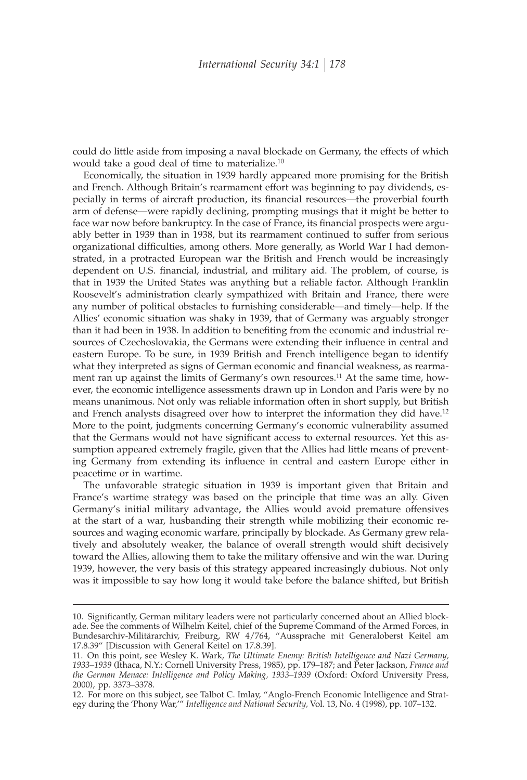could do little aside from imposing a naval blockade on Germany, the effects of which would take a good deal of time to materialize.10

Economically, the situation in 1939 hardly appeared more promising for the British and French. Although Britain's rearmament effort was beginning to pay dividends, especially in terms of aircraft production, its financial resources—the proverbial fourth arm of defense—were rapidly declining, prompting musings that it might be better to face war now before bankruptcy. In the case of France, its financial prospects were arguably better in 1939 than in 1938, but its rearmament continued to suffer from serious organizational difficulties, among others. More generally, as World War I had demonstrated, in a protracted European war the British and French would be increasingly dependent on U.S. financial, industrial, and military aid. The problem, of course, is that in 1939 the United States was anything but a reliable factor. Although Franklin Roosevelt's administration clearly sympathized with Britain and France, there were any number of political obstacles to furnishing considerable—and timely—help. If the Allies' economic situation was shaky in 1939, that of Germany was arguably stronger than it had been in 1938. In addition to benefiting from the economic and industrial resources of Czechoslovakia, the Germans were extending their influence in central and eastern Europe. To be sure, in 1939 British and French intelligence began to identify what they interpreted as signs of German economic and financial weakness, as rearmament ran up against the limits of Germany's own resources.<sup>11</sup> At the same time, however, the economic intelligence assessments drawn up in London and Paris were by no means unanimous. Not only was reliable information often in short supply, but British and French analysts disagreed over how to interpret the information they did have.12 More to the point, judgments concerning Germany's economic vulnerability assumed that the Germans would not have significant access to external resources. Yet this assumption appeared extremely fragile, given that the Allies had little means of preventing Germany from extending its influence in central and eastern Europe either in peacetime or in wartime.

The unfavorable strategic situation in 1939 is important given that Britain and France's wartime strategy was based on the principle that time was an ally. Given Germany's initial military advantage, the Allies would avoid premature offensives at the start of a war, husbanding their strength while mobilizing their economic resources and waging economic warfare, principally by blockade. As Germany grew relatively and absolutely weaker, the balance of overall strength would shift decisively toward the Allies, allowing them to take the military offensive and win the war. During 1939, however, the very basis of this strategy appeared increasingly dubious. Not only was it impossible to say how long it would take before the balance shifted, but British

<sup>10.</sup> Significantly, German military leaders were not particularly concerned about an Allied blockade. See the comments of Wilhelm Keitel, chief of the Supreme Command of the Armed Forces, in Bundesarchiv-Militärarchiv, Freiburg, RW 4/764, "Aussprache mit Generaloberst Keitel am 17.8.39" [Discussion with General Keitel on 17.8.39].

<sup>11.</sup> On this point, see Wesley K. Wark, *The Ultimate Enemy: British Intelligence and Nazi Germany, 1933–1939* (Ithaca, N.Y.: Cornell University Press, 1985), pp. 179–187; and Peter Jackson, *France and the German Menace: Intelligence and Policy Making, 1933–1939* (Oxford: Oxford University Press, 2000), pp. 3373–3378.

<sup>12.</sup> For more on this subject, see Talbot C. Imlay, "Anglo-French Economic Intelligence and Strategy during the 'Phony War,'" *Intelligence and National Security,* Vol. 13, No. 4 (1998), pp. 107–132.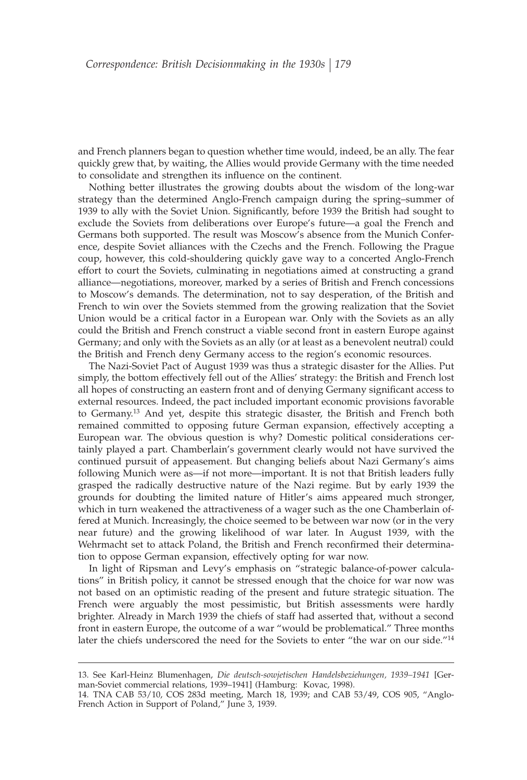and French planners began to question whether time would, indeed, be an ally. The fear quickly grew that, by waiting, the Allies would provide Germany with the time needed to consolidate and strengthen its influence on the continent.

Nothing better illustrates the growing doubts about the wisdom of the long-war strategy than the determined Anglo-French campaign during the spring–summer of 1939 to ally with the Soviet Union. Significantly, before 1939 the British had sought to exclude the Soviets from deliberations over Europe's future—a goal the French and Germans both supported. The result was Moscow's absence from the Munich Conference, despite Soviet alliances with the Czechs and the French. Following the Prague coup, however, this cold-shouldering quickly gave way to a concerted Anglo-French effort to court the Soviets, culminating in negotiations aimed at constructing a grand alliance—negotiations, moreover, marked by a series of British and French concessions to Moscow's demands. The determination, not to say desperation, of the British and French to win over the Soviets stemmed from the growing realization that the Soviet Union would be a critical factor in a European war. Only with the Soviets as an ally could the British and French construct a viable second front in eastern Europe against Germany; and only with the Soviets as an ally (or at least as a benevolent neutral) could the British and French deny Germany access to the region's economic resources.

The Nazi-Soviet Pact of August 1939 was thus a strategic disaster for the Allies. Put simply, the bottom effectively fell out of the Allies' strategy: the British and French lost all hopes of constructing an eastern front and of denying Germany significant access to external resources. Indeed, the pact included important economic provisions favorable to Germany.13 And yet, despite this strategic disaster, the British and French both remained committed to opposing future German expansion, effectively accepting a European war. The obvious question is why? Domestic political considerations certainly played a part. Chamberlain's government clearly would not have survived the continued pursuit of appeasement. But changing beliefs about Nazi Germany's aims following Munich were as—if not more—important. It is not that British leaders fully grasped the radically destructive nature of the Nazi regime. But by early 1939 the grounds for doubting the limited nature of Hitler's aims appeared much stronger, which in turn weakened the attractiveness of a wager such as the one Chamberlain offered at Munich. Increasingly, the choice seemed to be between war now (or in the very near future) and the growing likelihood of war later. In August 1939, with the Wehrmacht set to attack Poland, the British and French reconfirmed their determination to oppose German expansion, effectively opting for war now.

In light of Ripsman and Levy's emphasis on "strategic balance-of-power calculations" in British policy, it cannot be stressed enough that the choice for war now was not based on an optimistic reading of the present and future strategic situation. The French were arguably the most pessimistic, but British assessments were hardly brighter. Already in March 1939 the chiefs of staff had asserted that, without a second front in eastern Europe, the outcome of a war "would be problematical." Three months later the chiefs underscored the need for the Soviets to enter "the war on our side."<sup>14</sup>

<sup>13.</sup> See Karl-Heinz Blumenhagen, *Die deutsch-sowjetischen Handelsbeziehungen, 1939–1941* [German-Soviet commercial relations, 1939–1941] (Hamburg: Kovac, 1998).

<sup>14.</sup> TNA CAB 53/10, COS 283d meeting, March 18, 1939; and CAB 53/49, COS 905, "Anglo-French Action in Support of Poland," June 3, 1939.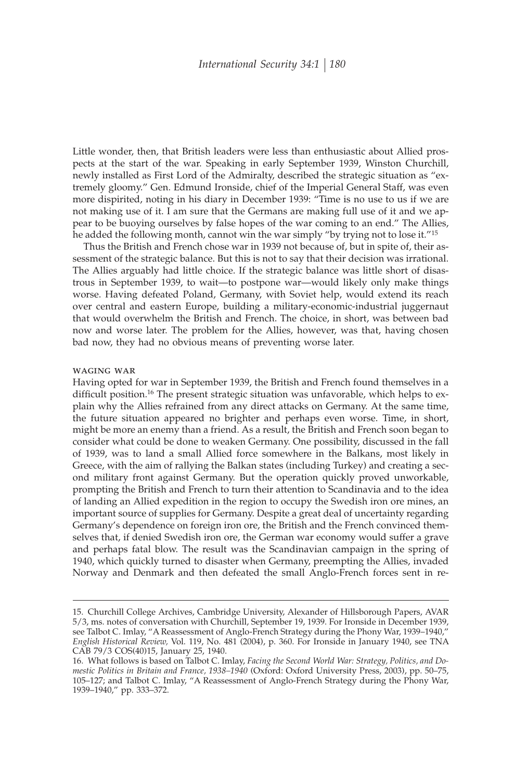Little wonder, then, that British leaders were less than enthusiastic about Allied prospects at the start of the war. Speaking in early September 1939, Winston Churchill, newly installed as First Lord of the Admiralty, described the strategic situation as "extremely gloomy." Gen. Edmund Ironside, chief of the Imperial General Staff, was even more dispirited, noting in his diary in December 1939: "Time is no use to us if we are not making use of it. I am sure that the Germans are making full use of it and we appear to be buoying ourselves by false hopes of the war coming to an end." The Allies, he added the following month, cannot win the war simply "by trying not to lose it."15

Thus the British and French chose war in 1939 not because of, but in spite of, their assessment of the strategic balance. But this is not to say that their decision was irrational. The Allies arguably had little choice. If the strategic balance was little short of disastrous in September 1939, to wait—to postpone war—would likely only make things worse. Having defeated Poland, Germany, with Soviet help, would extend its reach over central and eastern Europe, building a military-economic-industrial juggernaut that would overwhelm the British and French. The choice, in short, was between bad now and worse later. The problem for the Allies, however, was that, having chosen bad now, they had no obvious means of preventing worse later.

#### waging war

Having opted for war in September 1939, the British and French found themselves in a difficult position.<sup>16</sup> The present strategic situation was unfavorable, which helps to explain why the Allies refrained from any direct attacks on Germany. At the same time, the future situation appeared no brighter and perhaps even worse. Time, in short, might be more an enemy than a friend. As a result, the British and French soon began to consider what could be done to weaken Germany. One possibility, discussed in the fall of 1939, was to land a small Allied force somewhere in the Balkans, most likely in Greece, with the aim of rallying the Balkan states (including Turkey) and creating a second military front against Germany. But the operation quickly proved unworkable, prompting the British and French to turn their attention to Scandinavia and to the idea of landing an Allied expedition in the region to occupy the Swedish iron ore mines, an important source of supplies for Germany. Despite a great deal of uncertainty regarding Germany's dependence on foreign iron ore, the British and the French convinced themselves that, if denied Swedish iron ore, the German war economy would suffer a grave and perhaps fatal blow. The result was the Scandinavian campaign in the spring of 1940, which quickly turned to disaster when Germany, preempting the Allies, invaded Norway and Denmark and then defeated the small Anglo-French forces sent in re-

<sup>15.</sup> Churchill College Archives, Cambridge University, Alexander of Hillsborough Papers, AVAR 5/3, ms. notes of conversation with Churchill, September 19, 1939. For Ironside in December 1939, see Talbot C. Imlay, "A Reassessment of Anglo-French Strategy during the Phony War, 1939–1940," *English Historical Review,* Vol. 119, No. 481 (2004), p. 360. For Ironside in January 1940, see TNA CAB 79/3 COS(40)15, January 25, 1940.

<sup>16.</sup> What follows is based on Talbot C. Imlay, *Facing the Second World War: Strategy, Politics, and Domestic Politics in Britain and France, 1938–1940* (Oxford: Oxford University Press, 2003), pp. 50–75, 105–127; and Talbot C. Imlay, "A Reassessment of Anglo-French Strategy during the Phony War, 1939–1940," pp. 333–372.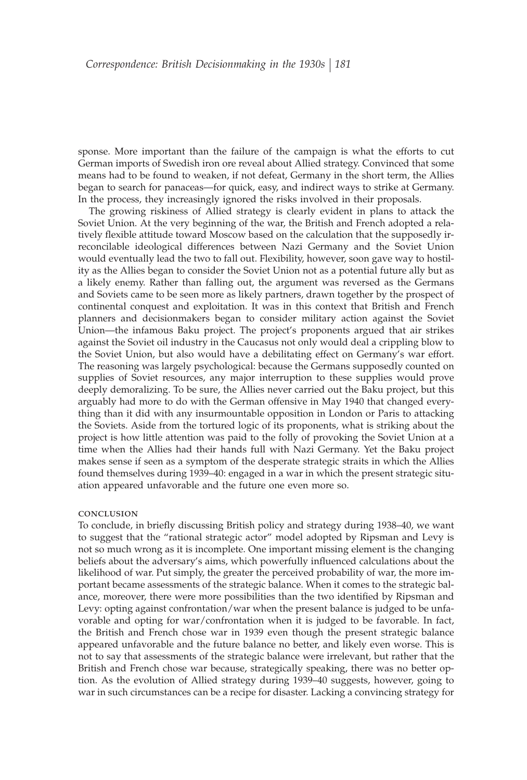sponse. More important than the failure of the campaign is what the efforts to cut German imports of Swedish iron ore reveal about Allied strategy. Convinced that some means had to be found to weaken, if not defeat, Germany in the short term, the Allies began to search for panaceas—for quick, easy, and indirect ways to strike at Germany. In the process, they increasingly ignored the risks involved in their proposals.

The growing riskiness of Allied strategy is clearly evident in plans to attack the Soviet Union. At the very beginning of the war, the British and French adopted a relatively flexible attitude toward Moscow based on the calculation that the supposedly irreconcilable ideological differences between Nazi Germany and the Soviet Union would eventually lead the two to fall out. Flexibility, however, soon gave way to hostility as the Allies began to consider the Soviet Union not as a potential future ally but as a likely enemy. Rather than falling out, the argument was reversed as the Germans and Soviets came to be seen more as likely partners, drawn together by the prospect of continental conquest and exploitation. It was in this context that British and French planners and decisionmakers began to consider military action against the Soviet Union—the infamous Baku project. The project's proponents argued that air strikes against the Soviet oil industry in the Caucasus not only would deal a crippling blow to the Soviet Union, but also would have a debilitating effect on Germany's war effort. The reasoning was largely psychological: because the Germans supposedly counted on supplies of Soviet resources, any major interruption to these supplies would prove deeply demoralizing. To be sure, the Allies never carried out the Baku project, but this arguably had more to do with the German offensive in May 1940 that changed everything than it did with any insurmountable opposition in London or Paris to attacking the Soviets. Aside from the tortured logic of its proponents, what is striking about the project is how little attention was paid to the folly of provoking the Soviet Union at a time when the Allies had their hands full with Nazi Germany. Yet the Baku project makes sense if seen as a symptom of the desperate strategic straits in which the Allies found themselves during 1939–40: engaged in a war in which the present strategic situation appeared unfavorable and the future one even more so.

#### conclusion

To conclude, in briefly discussing British policy and strategy during 1938–40, we want to suggest that the "rational strategic actor" model adopted by Ripsman and Levy is not so much wrong as it is incomplete. One important missing element is the changing beliefs about the adversary's aims, which powerfully influenced calculations about the likelihood of war. Put simply, the greater the perceived probability of war, the more important became assessments of the strategic balance. When it comes to the strategic balance, moreover, there were more possibilities than the two identified by Ripsman and Levy: opting against confrontation/war when the present balance is judged to be unfavorable and opting for war/confrontation when it is judged to be favorable. In fact, the British and French chose war in 1939 even though the present strategic balance appeared unfavorable and the future balance no better, and likely even worse. This is not to say that assessments of the strategic balance were irrelevant, but rather that the British and French chose war because, strategically speaking, there was no better option. As the evolution of Allied strategy during 1939–40 suggests, however, going to war in such circumstances can be a recipe for disaster. Lacking a convincing strategy for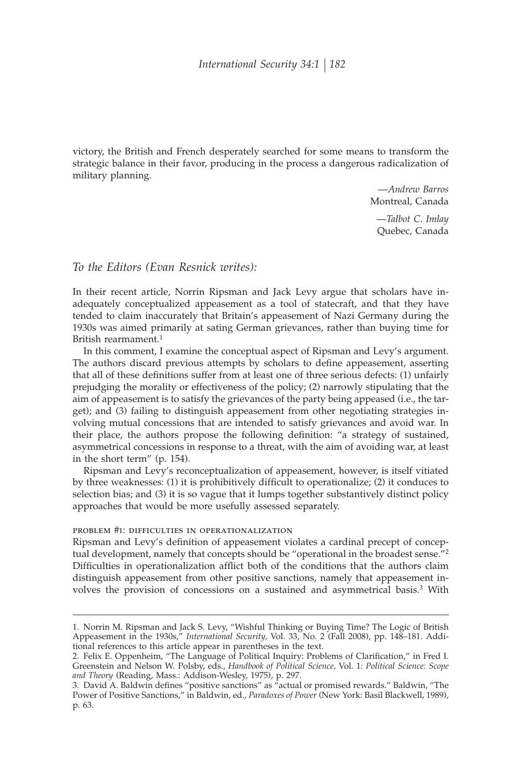victory, the British and French desperately searched for some means to transform the strategic balance in their favor, producing in the process a dangerous radicalization of military planning.

> —*Andrew Barros* Montreal, Canada

—*Talbot C. Imlay* Quebec, Canada

### *To the Editors (Evan Resnick writes):*

In their recent article, Norrin Ripsman and Jack Levy argue that scholars have inadequately conceptualized appeasement as a tool of statecraft, and that they have tended to claim inaccurately that Britain's appeasement of Nazi Germany during the 1930s was aimed primarily at sating German grievances, rather than buying time for British rearmament.1

In this comment, I examine the conceptual aspect of Ripsman and Levy's argument. The authors discard previous attempts by scholars to define appeasement, asserting that all of these definitions suffer from at least one of three serious defects: (1) unfairly prejudging the morality or effectiveness of the policy; (2) narrowly stipulating that the aim of appeasement is to satisfy the grievances of the party being appeased (i.e., the target); and (3) failing to distinguish appeasement from other negotiating strategies involving mutual concessions that are intended to satisfy grievances and avoid war. In their place, the authors propose the following definition: "a strategy of sustained, asymmetrical concessions in response to a threat, with the aim of avoiding war, at least in the short term" (p. 154).

Ripsman and Levy's reconceptualization of appeasement, however, is itself vitiated by three weaknesses: (1) it is prohibitively difficult to operationalize; (2) it conduces to selection bias; and (3) it is so vague that it lumps together substantively distinct policy approaches that would be more usefully assessed separately.

#### PROBLEM #1: DIFFICULTIES IN OPERATIONALIZATION

Ripsman and Levy's definition of appeasement violates a cardinal precept of conceptual development, namely that concepts should be "operational in the broadest sense."<sup>2</sup> Difficulties in operationalization afflict both of the conditions that the authors claim distinguish appeasement from other positive sanctions, namely that appeasement involves the provision of concessions on a sustained and asymmetrical basis.3 With

<sup>1.</sup> Norrin M. Ripsman and Jack S. Levy, "Wishful Thinking or Buying Time? The Logic of British Appeasement in the 1930s," *International Security,* Vol. 33, No. 2 (Fall 2008), pp. 148–181. Additional references to this article appear in parentheses in the text.

<sup>2.</sup> Felix E. Oppenheim, "The Language of Political Inquiry: Problems of Clarification," in Fred I. Greenstein and Nelson W. Polsby, eds., *Handbook of Political Science,* Vol. 1: *Political Science: Scope and Theory* (Reading, Mass.: Addison-Wesley, 1975), p. 297.

<sup>3.</sup> David A. Baldwin defines "positive sanctions" as "actual or promised rewards." Baldwin, "The Power of Positive Sanctions," in Baldwin, ed., *Paradoxes of Power* (New York: Basil Blackwell, 1989), p. 63.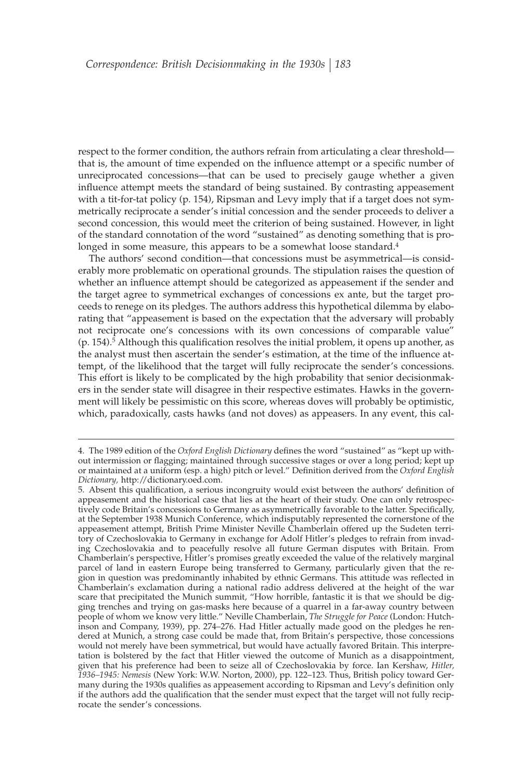respect to the former condition, the authors refrain from articulating a clear threshold that is, the amount of time expended on the influence attempt or a specific number of unreciprocated concessions—that can be used to precisely gauge whether a given influence attempt meets the standard of being sustained. By contrasting appeasement with a tit-for-tat policy (p. 154), Ripsman and Levy imply that if a target does not symmetrically reciprocate a sender's initial concession and the sender proceeds to deliver a second concession, this would meet the criterion of being sustained. However, in light of the standard connotation of the word "sustained" as denoting something that is prolonged in some measure, this appears to be a somewhat loose standard.<sup>4</sup>

The authors' second condition—that concessions must be asymmetrical—is considerably more problematic on operational grounds. The stipulation raises the question of whether an influence attempt should be categorized as appeasement if the sender and the target agree to symmetrical exchanges of concessions ex ante, but the target proceeds to renege on its pledges. The authors address this hypothetical dilemma by elaborating that "appeasement is based on the expectation that the adversary will probably not reciprocate one's concessions with its own concessions of comparable value" (p. 154).<sup>5</sup> Although this qualification resolves the initial problem, it opens up another, as the analyst must then ascertain the sender's estimation, at the time of the influence attempt, of the likelihood that the target will fully reciprocate the sender's concessions. This effort is likely to be complicated by the high probability that senior decisionmakers in the sender state will disagree in their respective estimates. Hawks in the government will likely be pessimistic on this score, whereas doves will probably be optimistic, which, paradoxically, casts hawks (and not doves) as appeasers. In any event, this cal-

<sup>4.</sup> The 1989 edition of the *Oxford English Dictionary* defines the word "sustained" as "kept up without intermission or flagging; maintained through successive stages or over a long period; kept up or maintained at a uniform (esp. a high) pitch or level." Definition derived from the *Oxford English Dictionary,* http://dictionary.oed.com.

<sup>5.</sup> Absent this qualification, a serious incongruity would exist between the authors' definition of appeasement and the historical case that lies at the heart of their study. One can only retrospectively code Britain's concessions to Germany as asymmetrically favorable to the latter. Specifically, at the September 1938 Munich Conference, which indisputably represented the cornerstone of the appeasement attempt, British Prime Minister Neville Chamberlain offered up the Sudeten territory of Czechoslovakia to Germany in exchange for Adolf Hitler's pledges to refrain from invading Czechoslovakia and to peacefully resolve all future German disputes with Britain. From Chamberlain's perspective, Hitler's promises greatly exceeded the value of the relatively marginal parcel of land in eastern Europe being transferred to Germany, particularly given that the region in question was predominantly inhabited by ethnic Germans. This attitude was reflected in Chamberlain's exclamation during a national radio address delivered at the height of the war scare that precipitated the Munich summit, "How horrible, fantastic it is that we should be digging trenches and trying on gas-masks here because of a quarrel in a far-away country between people of whom we know very little." Neville Chamberlain, *The Struggle for Peace* (London: Hutchinson and Company, 1939), pp. 274–276. Had Hitler actually made good on the pledges he rendered at Munich, a strong case could be made that, from Britain's perspective, those concessions would not merely have been symmetrical, but would have actually favored Britain. This interpretation is bolstered by the fact that Hitler viewed the outcome of Munich as a disappointment, given that his preference had been to seize all of Czechoslovakia by force. Ian Kershaw, *Hitler, 1936–1945: Nemesis* (New York: W.W. Norton, 2000), pp. 122–123. Thus, British policy toward Germany during the 1930s qualifies as appeasement according to Ripsman and Levy's definition only if the authors add the qualification that the sender must expect that the target will not fully reciprocate the sender's concessions.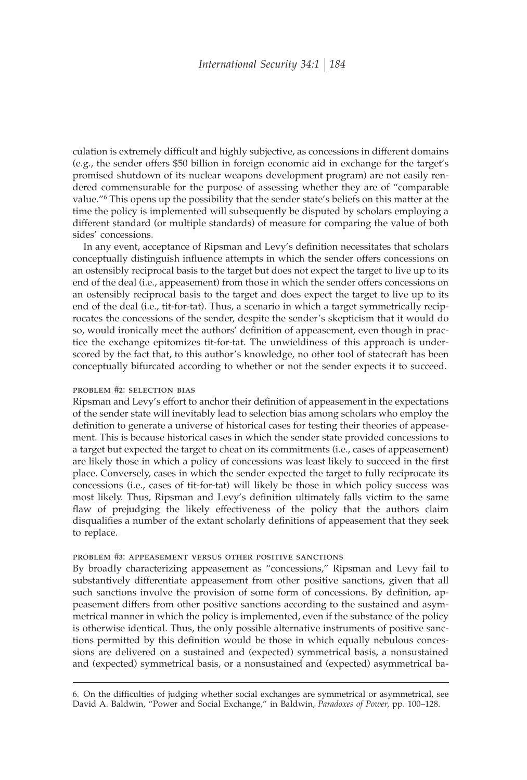culation is extremely difficult and highly subjective, as concessions in different domains (e.g., the sender offers \$50 billion in foreign economic aid in exchange for the target's promised shutdown of its nuclear weapons development program) are not easily rendered commensurable for the purpose of assessing whether they are of "comparable value."6 This opens up the possibility that the sender state's beliefs on this matter at the time the policy is implemented will subsequently be disputed by scholars employing a different standard (or multiple standards) of measure for comparing the value of both sides' concessions.

In any event, acceptance of Ripsman and Levy's definition necessitates that scholars conceptually distinguish influence attempts in which the sender offers concessions on an ostensibly reciprocal basis to the target but does not expect the target to live up to its end of the deal (i.e., appeasement) from those in which the sender offers concessions on an ostensibly reciprocal basis to the target and does expect the target to live up to its end of the deal (i.e., tit-for-tat). Thus, a scenario in which a target symmetrically reciprocates the concessions of the sender, despite the sender's skepticism that it would do so, would ironically meet the authors' definition of appeasement, even though in practice the exchange epitomizes tit-for-tat. The unwieldiness of this approach is underscored by the fact that, to this author's knowledge, no other tool of statecraft has been conceptually bifurcated according to whether or not the sender expects it to succeed.

#### problem #2: selection bias

Ripsman and Levy's effort to anchor their definition of appeasement in the expectations of the sender state will inevitably lead to selection bias among scholars who employ the definition to generate a universe of historical cases for testing their theories of appeasement. This is because historical cases in which the sender state provided concessions to a target but expected the target to cheat on its commitments (i.e., cases of appeasement) are likely those in which a policy of concessions was least likely to succeed in the first place. Conversely, cases in which the sender expected the target to fully reciprocate its concessions (i.e., cases of tit-for-tat) will likely be those in which policy success was most likely. Thus, Ripsman and Levy's definition ultimately falls victim to the same flaw of prejudging the likely effectiveness of the policy that the authors claim disqualifies a number of the extant scholarly definitions of appeasement that they seek to replace.

#### problem #3: appeasement versus other positive sanctions

By broadly characterizing appeasement as "concessions," Ripsman and Levy fail to substantively differentiate appeasement from other positive sanctions, given that all such sanctions involve the provision of some form of concessions. By definition, appeasement differs from other positive sanctions according to the sustained and asymmetrical manner in which the policy is implemented, even if the substance of the policy is otherwise identical. Thus, the only possible alternative instruments of positive sanctions permitted by this definition would be those in which equally nebulous concessions are delivered on a sustained and (expected) symmetrical basis, a nonsustained and (expected) symmetrical basis, or a nonsustained and (expected) asymmetrical ba-

<sup>6.</sup> On the difficulties of judging whether social exchanges are symmetrical or asymmetrical, see David A. Baldwin, "Power and Social Exchange," in Baldwin, *Paradoxes of Power,* pp. 100–128.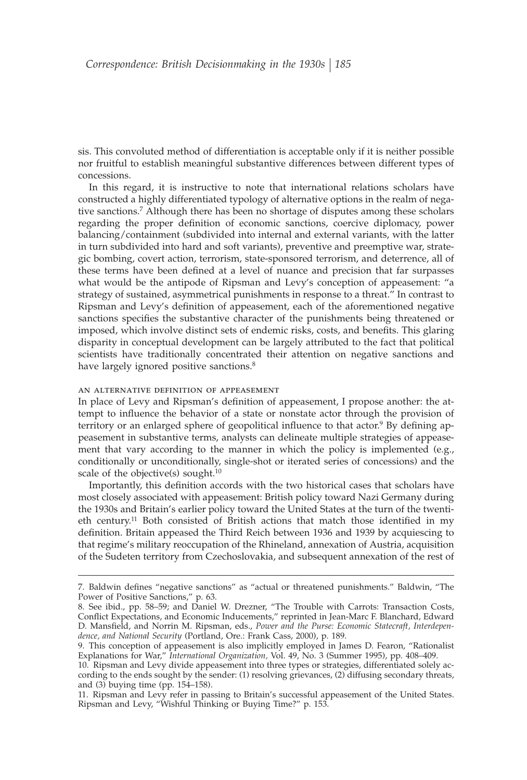sis. This convoluted method of differentiation is acceptable only if it is neither possible nor fruitful to establish meaningful substantive differences between different types of concessions.

In this regard, it is instructive to note that international relations scholars have constructed a highly differentiated typology of alternative options in the realm of negative sanctions.7 Although there has been no shortage of disputes among these scholars regarding the proper definition of economic sanctions, coercive diplomacy, power balancing/containment (subdivided into internal and external variants, with the latter in turn subdivided into hard and soft variants), preventive and preemptive war, strategic bombing, covert action, terrorism, state-sponsored terrorism, and deterrence, all of these terms have been defined at a level of nuance and precision that far surpasses what would be the antipode of Ripsman and Levy's conception of appeasement: "a strategy of sustained, asymmetrical punishments in response to a threat." In contrast to Ripsman and Levy's definition of appeasement, each of the aforementioned negative sanctions specifies the substantive character of the punishments being threatened or imposed, which involve distinct sets of endemic risks, costs, and benefits. This glaring disparity in conceptual development can be largely attributed to the fact that political scientists have traditionally concentrated their attention on negative sanctions and have largely ignored positive sanctions.<sup>8</sup>

AN ALTERNATIVE DEFINITION OF APPEASEMENT

In place of Levy and Ripsman's definition of appeasement, I propose another: the attempt to influence the behavior of a state or nonstate actor through the provision of territory or an enlarged sphere of geopolitical influence to that actor.<sup>9</sup> By defining appeasement in substantive terms, analysts can delineate multiple strategies of appeasement that vary according to the manner in which the policy is implemented (e.g., conditionally or unconditionally, single-shot or iterated series of concessions) and the scale of the objective(s) sought.<sup>10</sup>

Importantly, this definition accords with the two historical cases that scholars have most closely associated with appeasement: British policy toward Nazi Germany during the 1930s and Britain's earlier policy toward the United States at the turn of the twentieth century.<sup>11</sup> Both consisted of British actions that match those identified in my definition. Britain appeased the Third Reich between 1936 and 1939 by acquiescing to that regime's military reoccupation of the Rhineland, annexation of Austria, acquisition of the Sudeten territory from Czechoslovakia, and subsequent annexation of the rest of

<sup>7.</sup> Baldwin defines "negative sanctions" as "actual or threatened punishments." Baldwin, "The Power of Positive Sanctions," p. 63.

<sup>8.</sup> See ibid., pp. 58–59; and Daniel W. Drezner, "The Trouble with Carrots: Transaction Costs, Conflict Expectations, and Economic Inducements," reprinted in Jean-Marc F. Blanchard, Edward D. Mansfield, and Norrin M. Ripsman, eds., *Power and the Purse: Economic Statecraft*, Interdepen*dence, and National Security* (Portland, Ore.: Frank Cass, 2000), p. 189.

<sup>9.</sup> This conception of appeasement is also implicitly employed in James D. Fearon, "Rationalist Explanations for War," *International Organization,* Vol. 49, No. 3 (Summer 1995), pp. 408–409.

<sup>10.</sup> Ripsman and Levy divide appeasement into three types or strategies, differentiated solely according to the ends sought by the sender: (1) resolving grievances, (2) diffusing secondary threats, and  $(3)$  buying time (pp. 154–158).

<sup>11.</sup> Ripsman and Levy refer in passing to Britain's successful appeasement of the United States. Ripsman and Levy, "Wishful Thinking or Buying Time?" p. 153.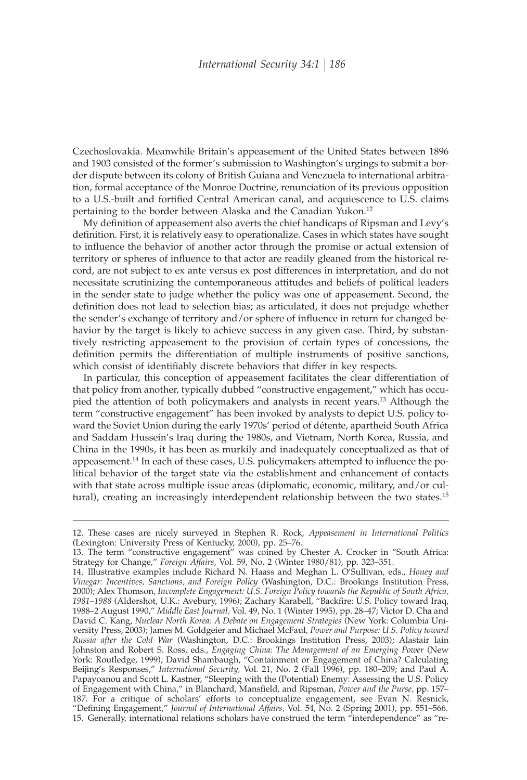Czechoslovakia. Meanwhile Britain's appeasement of the United States between 1896 and 1903 consisted of the former's submission to Washington's urgings to submit a border dispute between its colony of British Guiana and Venezuela to international arbitration, formal acceptance of the Monroe Doctrine, renunciation of its previous opposition to a U.S.-built and fortified Central American canal, and acquiescence to U.S. claims pertaining to the border between Alaska and the Canadian Yukon.12

My definition of appeasement also averts the chief handicaps of Ripsman and Levy's definition. First, it is relatively easy to operationalize. Cases in which states have sought to influence the behavior of another actor through the promise or actual extension of territory or spheres of influence to that actor are readily gleaned from the historical record, are not subject to ex ante versus ex post differences in interpretation, and do not necessitate scrutinizing the contemporaneous attitudes and beliefs of political leaders in the sender state to judge whether the policy was one of appeasement. Second, the definition does not lead to selection bias; as articulated, it does not prejudge whether the sender's exchange of territory and/or sphere of influence in return for changed behavior by the target is likely to achieve success in any given case. Third, by substantively restricting appeasement to the provision of certain types of concessions, the definition permits the differentiation of multiple instruments of positive sanctions, which consist of identifiably discrete behaviors that differ in key respects.

In particular, this conception of appeasement facilitates the clear differentiation of that policy from another, typically dubbed "constructive engagement," which has occupied the attention of both policymakers and analysts in recent years.<sup>13</sup> Although the term "constructive engagement" has been invoked by analysts to depict U.S. policy toward the Soviet Union during the early 1970s' period of détente, apartheid South Africa and Saddam Hussein's Iraq during the 1980s, and Vietnam, North Korea, Russia, and China in the 1990s, it has been as murkily and inadequately conceptualized as that of appeasement.<sup>14</sup> In each of these cases, U.S. policymakers attempted to influence the political behavior of the target state via the establishment and enhancement of contacts with that state across multiple issue areas (diplomatic, economic, military, and/or cultural), creating an increasingly interdependent relationship between the two states.<sup>15</sup>

<sup>12.</sup> These cases are nicely surveyed in Stephen R. Rock, *Appeasement in International Politics* (Lexington: University Press of Kentucky, 2000), pp. 25–76.

<sup>13.</sup> The term "constructive engagement" was coined by Chester A. Crocker in "South Africa: Strategy for Change," *Foreign Affairs,* Vol. 59, No. 2 (Winter 1980/81), pp. 323–351.

<sup>14.</sup> Illustrative examples include Richard N. Haass and Meghan L. O'Sullivan, eds., *Honey and Vinegar: Incentives, Sanctions, and Foreign Policy* (Washington, D.C.: Brookings Institution Press, 2000); Alex Thomson, *Incomplete Engagement: U.S. Foreign Policy towards the Republic of South Africa,* 1981–1988 (Aldershot, U.K.: Avebury, 1996); Zachary Karabell, "Backfire: U.S. Policy toward Iraq, 1988–2 August 1990," *Middle East Journal,* Vol. 49, No. 1 (Winter 1995), pp. 28–47; Victor D. Cha and David C. Kang, *Nuclear North Korea: A Debate on Engagement Strategies* (New York: Columbia University Press, 2003); James M. Goldgeier and Michael McFaul, *Power and Purpose: U.S. Policy toward Russia after the Cold War* (Washington, D.C.: Brookings Institution Press, 2003); Alastair Iain Johnston and Robert S. Ross, eds., *Engaging China: The Management of an Emerging Power* (New York: Routledge, 1999); David Shambaugh, "Containment or Engagement of China? Calculating Beijing's Responses," *International Security,* Vol. 21, No. 2 (Fall 1996), pp. 180–209; and Paul A. Papayoanou and Scott L. Kastner, "Sleeping with the (Potential) Enemy: Assessing the U.S. Policy of Engagement with China," in Blanchard, Mansfield, and Ripsman, *Power and the Purse*, pp. 157– 187. For a critique of scholars' efforts to conceptualize engagement, see Evan N. Resnick, "Defining Engagement," *Journal of International Affairs*, Vol. 54, No. 2 (Spring 2001), pp. 551–566. 15. Generally, international relations scholars have construed the term "interdependence" as "re-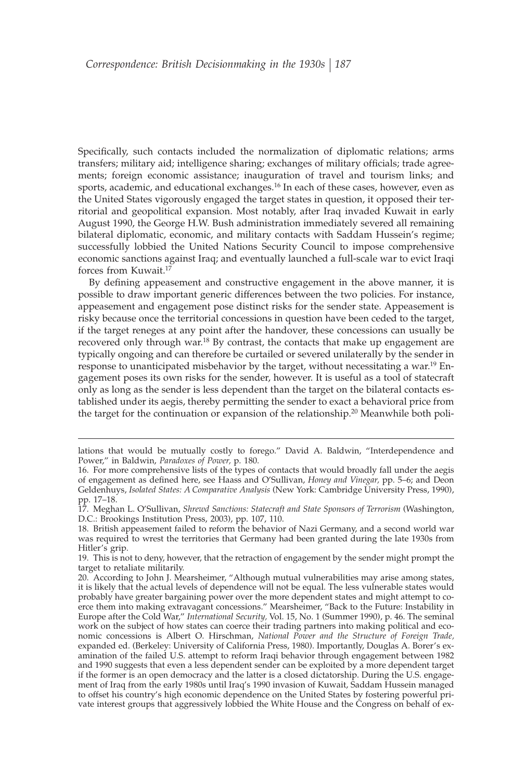Specifically, such contacts included the normalization of diplomatic relations; arms transfers; military aid; intelligence sharing; exchanges of military officials; trade agreements; foreign economic assistance; inauguration of travel and tourism links; and sports, academic, and educational exchanges.<sup>16</sup> In each of these cases, however, even as the United States vigorously engaged the target states in question, it opposed their territorial and geopolitical expansion. Most notably, after Iraq invaded Kuwait in early August 1990, the George H.W. Bush administration immediately severed all remaining bilateral diplomatic, economic, and military contacts with Saddam Hussein's regime; successfully lobbied the United Nations Security Council to impose comprehensive economic sanctions against Iraq; and eventually launched a full-scale war to evict Iraqi forces from Kuwait.17

By defining appeasement and constructive engagement in the above manner, it is possible to draw important generic differences between the two policies. For instance, appeasement and engagement pose distinct risks for the sender state. Appeasement is risky because once the territorial concessions in question have been ceded to the target, if the target reneges at any point after the handover, these concessions can usually be recovered only through war.<sup>18</sup> By contrast, the contacts that make up engagement are typically ongoing and can therefore be curtailed or severed unilaterally by the sender in response to unanticipated misbehavior by the target, without necessitating a war.<sup>19</sup> Engagement poses its own risks for the sender, however. It is useful as a tool of statecraft only as long as the sender is less dependent than the target on the bilateral contacts established under its aegis, thereby permitting the sender to exact a behavioral price from the target for the continuation or expansion of the relationship.<sup>20</sup> Meanwhile both poli-

lations that would be mutually costly to forego." David A. Baldwin, "Interdependence and Power," in Baldwin, *Paradoxes of Power,* p. 180.

<sup>16.</sup> For more comprehensive lists of the types of contacts that would broadly fall under the aegis of engagement as defined here, see Haass and O'Sullivan, *Honey and Vinegar*, pp. 5–6; and Deon Geldenhuys, *Isolated States: A Comparative Analysis* (New York: Cambridge University Press, 1990), pp. 17–18.

<sup>17.</sup> Meghan L. O'Sullivan, *Shrewd Sanctions: Statecraft and State Sponsors of Terrorism* (Washington, D.C.: Brookings Institution Press, 2003), pp. 107, 110.

<sup>18.</sup> British appeasement failed to reform the behavior of Nazi Germany, and a second world war was required to wrest the territories that Germany had been granted during the late 1930s from Hitler's grip.

<sup>19.</sup> This is not to deny, however, that the retraction of engagement by the sender might prompt the target to retaliate militarily.

<sup>20.</sup> According to John J. Mearsheimer, "Although mutual vulnerabilities may arise among states, it is likely that the actual levels of dependence will not be equal. The less vulnerable states would probably have greater bargaining power over the more dependent states and might attempt to coerce them into making extravagant concessions." Mearsheimer, "Back to the Future: Instability in Europe after the Cold War," *International Security,* Vol. 15, No. 1 (Summer 1990), p. 46. The seminal work on the subject of how states can coerce their trading partners into making political and economic concessions is Albert O. Hirschman, *National Power and the Structure of Foreign Trade,* expanded ed. (Berkeley: University of California Press, 1980). Importantly, Douglas A. Borer's examination of the failed U.S. attempt to reform Iraqi behavior through engagement between 1982 and 1990 suggests that even a less dependent sender can be exploited by a more dependent target if the former is an open democracy and the latter is a closed dictatorship. During the U.S. engagement of Iraq from the early 1980s until Iraq's 1990 invasion of Kuwait, Saddam Hussein managed to offset his country's high economic dependence on the United States by fostering powerful private interest groups that aggressively lobbied the White House and the Congress on behalf of ex-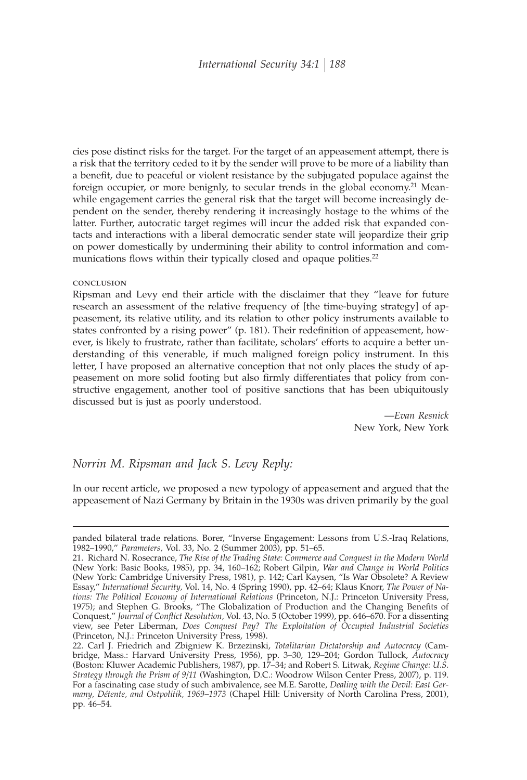cies pose distinct risks for the target. For the target of an appeasement attempt, there is a risk that the territory ceded to it by the sender will prove to be more of a liability than a benefit, due to peaceful or violent resistance by the subjugated populace against the foreign occupier, or more benignly, to secular trends in the global economy.<sup>21</sup> Meanwhile engagement carries the general risk that the target will become increasingly dependent on the sender, thereby rendering it increasingly hostage to the whims of the latter. Further, autocratic target regimes will incur the added risk that expanded contacts and interactions with a liberal democratic sender state will jeopardize their grip on power domestically by undermining their ability to control information and communications flows within their typically closed and opaque polities.<sup>22</sup>

#### conclusion

Ripsman and Levy end their article with the disclaimer that they "leave for future research an assessment of the relative frequency of [the time-buying strategy] of appeasement, its relative utility, and its relation to other policy instruments available to states confronted by a rising power" (p. 181). Their redefinition of appeasement, however, is likely to frustrate, rather than facilitate, scholars' efforts to acquire a better understanding of this venerable, if much maligned foreign policy instrument. In this letter, I have proposed an alternative conception that not only places the study of appeasement on more solid footing but also firmly differentiates that policy from constructive engagement, another tool of positive sanctions that has been ubiquitously discussed but is just as poorly understood.

> —*Evan Resnick* New York, New York

## *Norrin M. Ripsman and Jack S. Levy Reply:*

In our recent article, we proposed a new typology of appeasement and argued that the appeasement of Nazi Germany by Britain in the 1930s was driven primarily by the goal

panded bilateral trade relations. Borer, "Inverse Engagement: Lessons from U.S.-Iraq Relations, 1982–1990," *Parameters,* Vol. 33, No. 2 (Summer 2003), pp. 51–65.

<sup>21.</sup> Richard N. Rosecrance, *The Rise of the Trading State: Commerce and Conquest in the Modern World* (New York: Basic Books, 1985), pp. 34, 160–162; Robert Gilpin, *War and Change in World Politics* (New York: Cambridge University Press, 1981), p. 142; Carl Kaysen, "Is War Obsolete? A Review Essay," *International Security,* Vol. 14, No. 4 (Spring 1990), pp. 42–64; Klaus Knorr, *The Power of Nations: The Political Economy of International Relations* (Princeton, N.J.: Princeton University Press, 1975); and Stephen G. Brooks, "The Globalization of Production and the Changing Benefits of Conquest," Journal of Conflict Resolution, Vol. 43, No. 5 (October 1999), pp. 646–670. For a dissenting view, see Peter Liberman, *Does Conquest Pay? The Exploitation of Occupied Industrial Societies* (Princeton, N.J.: Princeton University Press, 1998).

<sup>22.</sup> Carl J. Friedrich and Zbigniew K. Brzezinski, *Totalitarian Dictatorship and Autocracy* (Cambridge, Mass.: Harvard University Press, 1956), pp. 3–30, 129–204; Gordon Tullock, *Autocracy* (Boston: Kluwer Academic Publishers, 1987), pp. 17–34; and Robert S. Litwak, *Regime Change: U.S. Strategy through the Prism of 9/11* (Washington, D.C.: Woodrow Wilson Center Press, 2007), p. 119. For a fascinating case study of such ambivalence, see M.E. Sarotte, *Dealing with the Devil: East Germany, Détente, and Ostpolitik, 1969–1973* (Chapel Hill: University of North Carolina Press, 2001), pp. 46–54.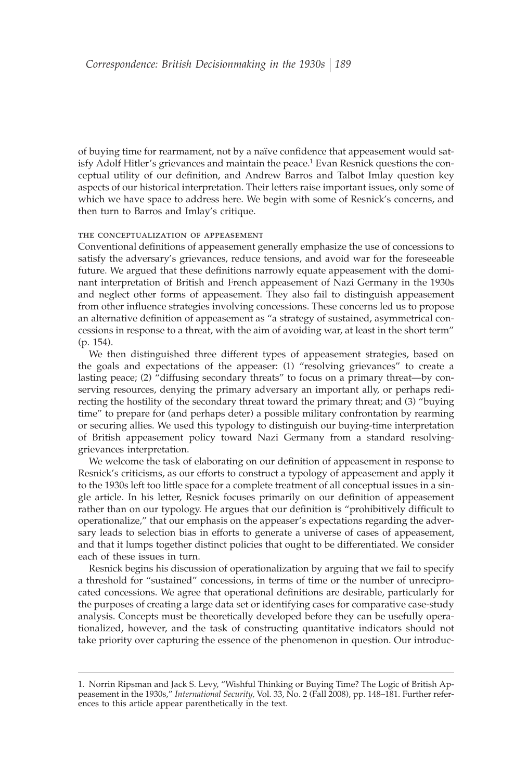of buying time for rearmament, not by a naïve confidence that appeasement would satisfy Adolf Hitler's grievances and maintain the peace.<sup>1</sup> Evan Resnick questions the conceptual utility of our definition, and Andrew Barros and Talbot Imlay question key aspects of our historical interpretation. Their letters raise important issues, only some of which we have space to address here. We begin with some of Resnick's concerns, and then turn to Barros and Imlay's critique.

#### the conceptualization of appeasement

Conventional definitions of appeasement generally emphasize the use of concessions to satisfy the adversary's grievances, reduce tensions, and avoid war for the foreseeable future. We argued that these definitions narrowly equate appeasement with the dominant interpretation of British and French appeasement of Nazi Germany in the 1930s and neglect other forms of appeasement. They also fail to distinguish appeasement from other influence strategies involving concessions. These concerns led us to propose an alternative definition of appeasement as "a strategy of sustained, asymmetrical concessions in response to a threat, with the aim of avoiding war, at least in the short term" (p. 154).

We then distinguished three different types of appeasement strategies, based on the goals and expectations of the appeaser: (1) "resolving grievances" to create a lasting peace; (2) "diffusing secondary threats" to focus on a primary threat—by conserving resources, denying the primary adversary an important ally, or perhaps redirecting the hostility of the secondary threat toward the primary threat; and (3) "buying time" to prepare for (and perhaps deter) a possible military confrontation by rearming or securing allies. We used this typology to distinguish our buying-time interpretation of British appeasement policy toward Nazi Germany from a standard resolvinggrievances interpretation.

We welcome the task of elaborating on our definition of appeasement in response to Resnick's criticisms, as our efforts to construct a typology of appeasement and apply it to the 1930s left too little space for a complete treatment of all conceptual issues in a single article. In his letter, Resnick focuses primarily on our definition of appeasement rather than on our typology. He argues that our definition is "prohibitively difficult to operationalize," that our emphasis on the appeaser's expectations regarding the adversary leads to selection bias in efforts to generate a universe of cases of appeasement, and that it lumps together distinct policies that ought to be differentiated. We consider each of these issues in turn.

Resnick begins his discussion of operationalization by arguing that we fail to specify a threshold for "sustained" concessions, in terms of time or the number of unreciprocated concessions. We agree that operational definitions are desirable, particularly for the purposes of creating a large data set or identifying cases for comparative case-study analysis. Concepts must be theoretically developed before they can be usefully operationalized, however, and the task of constructing quantitative indicators should not take priority over capturing the essence of the phenomenon in question. Our introduc-

<sup>1.</sup> Norrin Ripsman and Jack S. Levy, "Wishful Thinking or Buying Time? The Logic of British Appeasement in the 1930s," *International Security,* Vol. 33, No. 2 (Fall 2008), pp. 148–181. Further references to this article appear parenthetically in the text.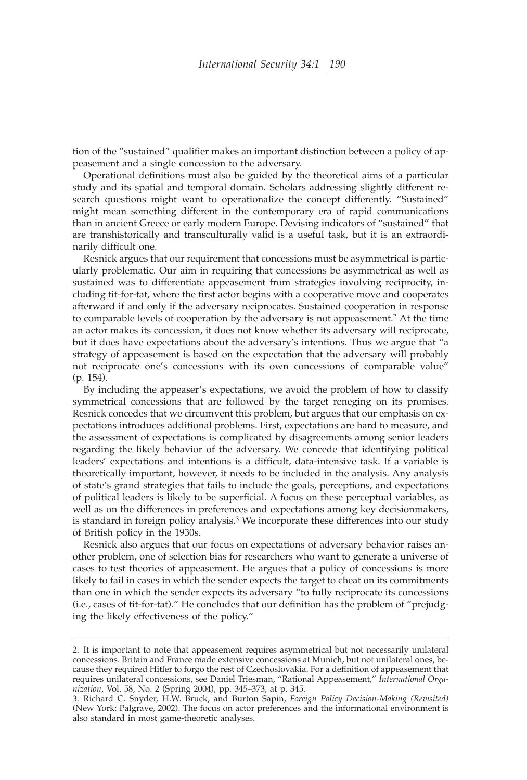tion of the "sustained" qualifier makes an important distinction between a policy of appeasement and a single concession to the adversary.

Operational definitions must also be guided by the theoretical aims of a particular study and its spatial and temporal domain. Scholars addressing slightly different research questions might want to operationalize the concept differently. "Sustained" might mean something different in the contemporary era of rapid communications than in ancient Greece or early modern Europe. Devising indicators of "sustained" that are transhistorically and transculturally valid is a useful task, but it is an extraordinarily difficult one.

Resnick argues that our requirement that concessions must be asymmetrical is particularly problematic. Our aim in requiring that concessions be asymmetrical as well as sustained was to differentiate appeasement from strategies involving reciprocity, including tit-for-tat, where the first actor begins with a cooperative move and cooperates afterward if and only if the adversary reciprocates. Sustained cooperation in response to comparable levels of cooperation by the adversary is not appeasement.2 At the time an actor makes its concession, it does not know whether its adversary will reciprocate, but it does have expectations about the adversary's intentions. Thus we argue that "a strategy of appeasement is based on the expectation that the adversary will probably not reciprocate one's concessions with its own concessions of comparable value" (p. 154).

By including the appeaser's expectations, we avoid the problem of how to classify symmetrical concessions that are followed by the target reneging on its promises. Resnick concedes that we circumvent this problem, but argues that our emphasis on expectations introduces additional problems. First, expectations are hard to measure, and the assessment of expectations is complicated by disagreements among senior leaders regarding the likely behavior of the adversary. We concede that identifying political leaders' expectations and intentions is a difficult, data-intensive task. If a variable is theoretically important, however, it needs to be included in the analysis. Any analysis of state's grand strategies that fails to include the goals, perceptions, and expectations of political leaders is likely to be superficial. A focus on these perceptual variables, as well as on the differences in preferences and expectations among key decisionmakers, is standard in foreign policy analysis.<sup>3</sup> We incorporate these differences into our study of British policy in the 1930s.

Resnick also argues that our focus on expectations of adversary behavior raises another problem, one of selection bias for researchers who want to generate a universe of cases to test theories of appeasement. He argues that a policy of concessions is more likely to fail in cases in which the sender expects the target to cheat on its commitments than one in which the sender expects its adversary "to fully reciprocate its concessions (i.e., cases of tit-for-tat)." He concludes that our definition has the problem of "prejudging the likely effectiveness of the policy."

<sup>2.</sup> It is important to note that appeasement requires asymmetrical but not necessarily unilateral concessions. Britain and France made extensive concessions at Munich, but not unilateral ones, because they required Hitler to forgo the rest of Czechoslovakia. For a definition of appeasement that requires unilateral concessions, see Daniel Triesman, "Rational Appeasement," *International Organization,* Vol. 58, No. 2 (Spring 2004), pp. 345–373, at p. 345.

<sup>3.</sup> Richard C. Snyder, H.W. Bruck, and Burton Sapin, *Foreign Policy Decision-Making (Revisited)* (New York: Palgrave, 2002). The focus on actor preferences and the informational environment is also standard in most game-theoretic analyses.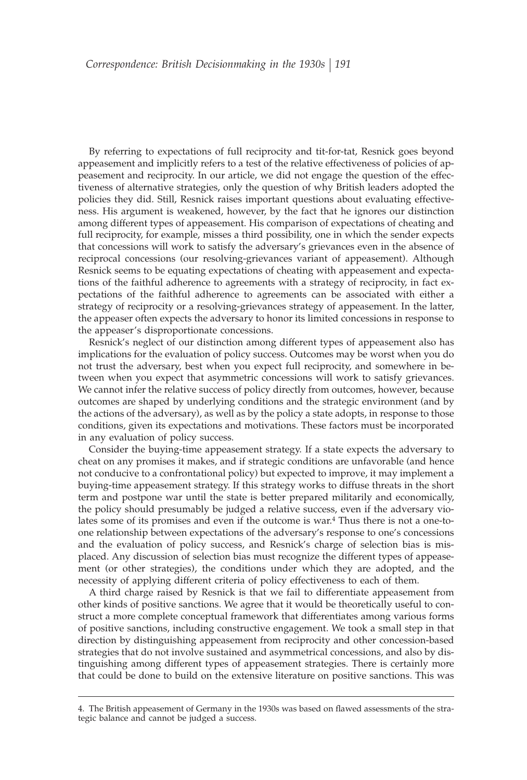By referring to expectations of full reciprocity and tit-for-tat, Resnick goes beyond appeasement and implicitly refers to a test of the relative effectiveness of policies of appeasement and reciprocity. In our article, we did not engage the question of the effectiveness of alternative strategies, only the question of why British leaders adopted the policies they did. Still, Resnick raises important questions about evaluating effectiveness. His argument is weakened, however, by the fact that he ignores our distinction among different types of appeasement. His comparison of expectations of cheating and full reciprocity, for example, misses a third possibility, one in which the sender expects that concessions will work to satisfy the adversary's grievances even in the absence of reciprocal concessions (our resolving-grievances variant of appeasement). Although Resnick seems to be equating expectations of cheating with appeasement and expectations of the faithful adherence to agreements with a strategy of reciprocity, in fact expectations of the faithful adherence to agreements can be associated with either a strategy of reciprocity or a resolving-grievances strategy of appeasement. In the latter, the appeaser often expects the adversary to honor its limited concessions in response to the appeaser's disproportionate concessions.

Resnick's neglect of our distinction among different types of appeasement also has implications for the evaluation of policy success. Outcomes may be worst when you do not trust the adversary, best when you expect full reciprocity, and somewhere in between when you expect that asymmetric concessions will work to satisfy grievances. We cannot infer the relative success of policy directly from outcomes, however, because outcomes are shaped by underlying conditions and the strategic environment (and by the actions of the adversary), as well as by the policy a state adopts, in response to those conditions, given its expectations and motivations. These factors must be incorporated in any evaluation of policy success.

Consider the buying-time appeasement strategy. If a state expects the adversary to cheat on any promises it makes, and if strategic conditions are unfavorable (and hence not conducive to a confrontational policy) but expected to improve, it may implement a buying-time appeasement strategy. If this strategy works to diffuse threats in the short term and postpone war until the state is better prepared militarily and economically, the policy should presumably be judged a relative success, even if the adversary violates some of its promises and even if the outcome is war.4 Thus there is not a one-toone relationship between expectations of the adversary's response to one's concessions and the evaluation of policy success, and Resnick's charge of selection bias is misplaced. Any discussion of selection bias must recognize the different types of appeasement (or other strategies), the conditions under which they are adopted, and the necessity of applying different criteria of policy effectiveness to each of them.

A third charge raised by Resnick is that we fail to differentiate appeasement from other kinds of positive sanctions. We agree that it would be theoretically useful to construct a more complete conceptual framework that differentiates among various forms of positive sanctions, including constructive engagement. We took a small step in that direction by distinguishing appeasement from reciprocity and other concession-based strategies that do not involve sustained and asymmetrical concessions, and also by distinguishing among different types of appeasement strategies. There is certainly more that could be done to build on the extensive literature on positive sanctions. This was

<sup>4.</sup> The British appeasement of Germany in the 1930s was based on flawed assessments of the strategic balance and cannot be judged a success.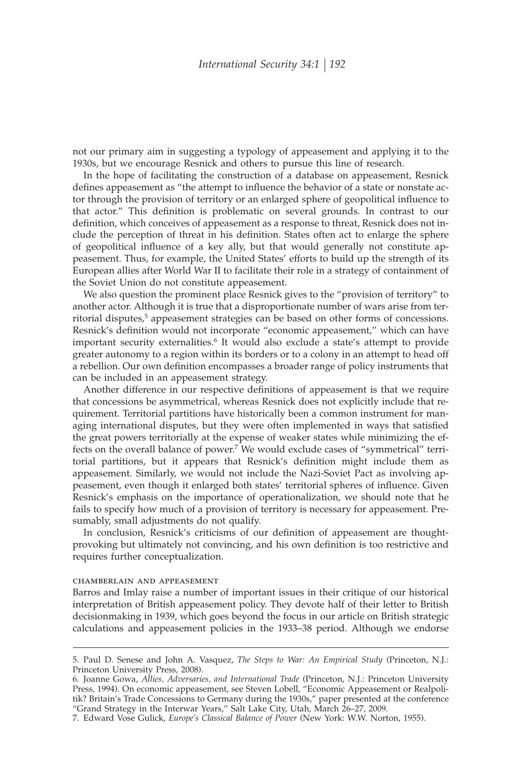not our primary aim in suggesting a typology of appeasement and applying it to the 1930s, but we encourage Resnick and others to pursue this line of research.

In the hope of facilitating the construction of a database on appeasement, Resnick defines appeasement as "the attempt to influence the behavior of a state or nonstate actor through the provision of territory or an enlarged sphere of geopolitical influence to that actor." This definition is problematic on several grounds. In contrast to our definition, which conceives of appeasement as a response to threat, Resnick does not include the perception of threat in his definition. States often act to enlarge the sphere of geopolitical influence of a key ally, but that would generally not constitute appeasement. Thus, for example, the United States' efforts to build up the strength of its European allies after World War II to facilitate their role in a strategy of containment of the Soviet Union do not constitute appeasement.

We also question the prominent place Resnick gives to the "provision of territory" to another actor. Although it is true that a disproportionate number of wars arise from territorial disputes,<sup>5</sup> appeasement strategies can be based on other forms of concessions. Resnick's definition would not incorporate "economic appeasement," which can have important security externalities.<sup>6</sup> It would also exclude a state's attempt to provide greater autonomy to a region within its borders or to a colony in an attempt to head off a rebellion. Our own definition encompasses a broader range of policy instruments that can be included in an appeasement strategy.

Another difference in our respective definitions of appeasement is that we require that concessions be asymmetrical, whereas Resnick does not explicitly include that requirement. Territorial partitions have historically been a common instrument for managing international disputes, but they were often implemented in ways that satisfied the great powers territorially at the expense of weaker states while minimizing the effects on the overall balance of power.7 We would exclude cases of "symmetrical" territorial partitions, but it appears that Resnick's definition might include them as appeasement. Similarly, we would not include the Nazi-Soviet Pact as involving appeasement, even though it enlarged both states' territorial spheres of influence. Given Resnick's emphasis on the importance of operationalization, we should note that he fails to specify how much of a provision of territory is necessary for appeasement. Presumably, small adjustments do not qualify.

In conclusion, Resnick's criticisms of our definition of appeasement are thoughtprovoking but ultimately not convincing, and his own definition is too restrictive and requires further conceptualization.

#### chamberlain and appeasement

Barros and Imlay raise a number of important issues in their critique of our historical interpretation of British appeasement policy. They devote half of their letter to British decisionmaking in 1939, which goes beyond the focus in our article on British strategic calculations and appeasement policies in the 1933–38 period. Although we endorse

<sup>5.</sup> Paul D. Senese and John A. Vasquez, *The Steps to War: An Empirical Study* (Princeton, N.J.: Princeton University Press, 2008).

<sup>6.</sup> Joanne Gowa, *Allies, Adversaries, and International Trade* (Princeton, N.J.: Princeton University Press, 1994). On economic appeasement, see Steven Lobell, "Economic Appeasement or Realpolitik? Britain's Trade Concessions to Germany during the 1930s," paper presented at the conference "Grand Strategy in the Interwar Years," Salt Lake City, Utah, March 26–27, 2009.

<sup>7.</sup> Edward Vose Gulick, *Europe's Classical Balance of Power* (New York: W.W. Norton, 1955).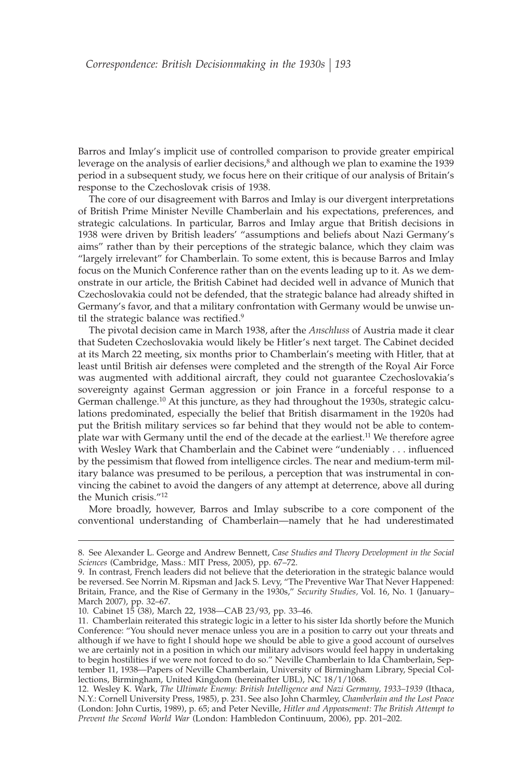Barros and Imlay's implicit use of controlled comparison to provide greater empirical leverage on the analysis of earlier decisions,<sup>8</sup> and although we plan to examine the 1939 period in a subsequent study, we focus here on their critique of our analysis of Britain's response to the Czechoslovak crisis of 1938.

The core of our disagreement with Barros and Imlay is our divergent interpretations of British Prime Minister Neville Chamberlain and his expectations, preferences, and strategic calculations. In particular, Barros and Imlay argue that British decisions in 1938 were driven by British leaders' "assumptions and beliefs about Nazi Germany's aims" rather than by their perceptions of the strategic balance, which they claim was "largely irrelevant" for Chamberlain. To some extent, this is because Barros and Imlay focus on the Munich Conference rather than on the events leading up to it. As we demonstrate in our article, the British Cabinet had decided well in advance of Munich that Czechoslovakia could not be defended, that the strategic balance had already shifted in Germany's favor, and that a military confrontation with Germany would be unwise until the strategic balance was rectified.<sup>9</sup>

The pivotal decision came in March 1938, after the *Anschluss* of Austria made it clear that Sudeten Czechoslovakia would likely be Hitler's next target. The Cabinet decided at its March 22 meeting, six months prior to Chamberlain's meeting with Hitler, that at least until British air defenses were completed and the strength of the Royal Air Force was augmented with additional aircraft, they could not guarantee Czechoslovakia's sovereignty against German aggression or join France in a forceful response to a German challenge.<sup>10</sup> At this juncture, as they had throughout the 1930s, strategic calculations predominated, especially the belief that British disarmament in the 1920s had put the British military services so far behind that they would not be able to contemplate war with Germany until the end of the decade at the earliest.<sup>11</sup> We therefore agree with Wesley Wark that Chamberlain and the Cabinet were "undeniably . . . influenced by the pessimism that flowed from intelligence circles. The near and medium-term military balance was presumed to be perilous, a perception that was instrumental in convincing the cabinet to avoid the dangers of any attempt at deterrence, above all during the Munich crisis."12

More broadly, however, Barros and Imlay subscribe to a core component of the conventional understanding of Chamberlain—namely that he had underestimated

<sup>8.</sup> See Alexander L. George and Andrew Bennett, *Case Studies and Theory Development in the Social Sciences* (Cambridge, Mass.: MIT Press, 2005), pp. 67–72.

<sup>9.</sup> In contrast, French leaders did not believe that the deterioration in the strategic balance would be reversed. See Norrin M. Ripsman and Jack S. Levy, "The Preventive War That Never Happened: Britain, France, and the Rise of Germany in the 1930s," *Security Studies,* Vol. 16, No. 1 (January– March 2007), pp. 32–67.

<sup>10.</sup> Cabinet 15 (38), March 22, 1938—CAB 23/93, pp. 33–46.

<sup>11.</sup> Chamberlain reiterated this strategic logic in a letter to his sister Ida shortly before the Munich Conference: "You should never menace unless you are in a position to carry out your threats and although if we have to fight I should hope we should be able to give a good account of ourselves we are certainly not in a position in which our military advisors would feel happy in undertaking to begin hostilities if we were not forced to do so." Neville Chamberlain to Ida Chamberlain, September 11, 1938—Papers of Neville Chamberlain, University of Birmingham Library, Special Collections, Birmingham, United Kingdom (hereinafter UBL), NC 18/1/1068.

<sup>12.</sup> Wesley K. Wark, *The Ultimate Enemy: British Intelligence and Nazi Germany, 1933–1939* (Ithaca, N.Y.: Cornell University Press, 1985), p. 231. See also John Charmley, *Chamberlain and the Lost Peace* (London: John Curtis, 1989), p. 65; and Peter Neville, *Hitler and Appeasement: The British Attempt to Prevent the Second World War* (London: Hambledon Continuum, 2006), pp. 201–202.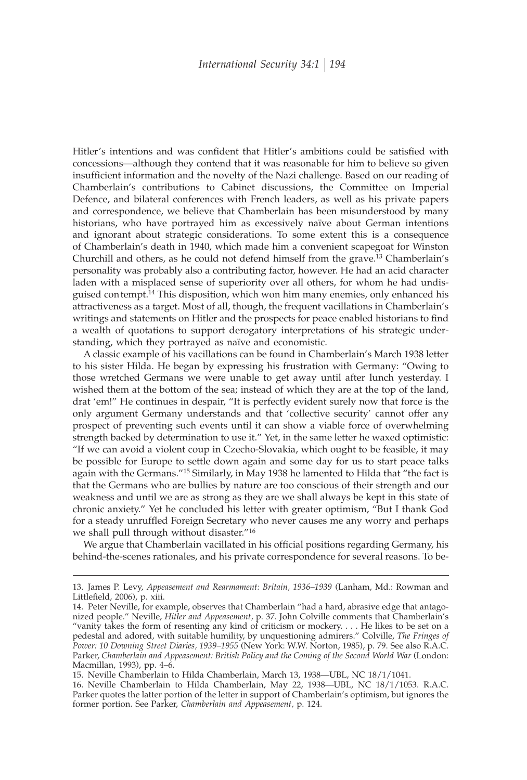Hitler's intentions and was confident that Hitler's ambitions could be satisfied with concessions—although they contend that it was reasonable for him to believe so given insufficient information and the novelty of the Nazi challenge. Based on our reading of Chamberlain's contributions to Cabinet discussions, the Committee on Imperial Defence, and bilateral conferences with French leaders, as well as his private papers and correspondence, we believe that Chamberlain has been misunderstood by many historians, who have portrayed him as excessively naïve about German intentions and ignorant about strategic considerations. To some extent this is a consequence of Chamberlain's death in 1940, which made him a convenient scapegoat for Winston Churchill and others, as he could not defend himself from the grave.13 Chamberlain's personality was probably also a contributing factor, however. He had an acid character laden with a misplaced sense of superiority over all others, for whom he had undisguised con tempt.14 This disposition, which won him many enemies, only enhanced his attractiveness as a target. Most of all, though, the frequent vacillations in Chamberlain's writings and statements on Hitler and the prospects for peace enabled historians to find a wealth of quotations to support derogatory interpretations of his strategic understanding, which they portrayed as naïve and economistic.

A classic example of his vacillations can be found in Chamberlain's March 1938 letter to his sister Hilda. He began by expressing his frustration with Germany: "Owing to those wretched Germans we were unable to get away until after lunch yesterday. I wished them at the bottom of the sea; instead of which they are at the top of the land, drat 'em!" He continues in despair, "It is perfectly evident surely now that force is the only argument Germany understands and that 'collective security' cannot offer any prospect of preventing such events until it can show a viable force of overwhelming strength backed by determination to use it." Yet, in the same letter he waxed optimistic: "If we can avoid a violent coup in Czecho-Slovakia, which ought to be feasible, it may be possible for Europe to settle down again and some day for us to start peace talks again with the Germans."15 Similarly, in May 1938 he lamented to Hilda that "the fact is that the Germans who are bullies by nature are too conscious of their strength and our weakness and until we are as strong as they are we shall always be kept in this state of chronic anxiety." Yet he concluded his letter with greater optimism, "But I thank God for a steady unruffled Foreign Secretary who never causes me any worry and perhaps we shall pull through without disaster."16

We argue that Chamberlain vacillated in his official positions regarding Germany, his behind-the-scenes rationales, and his private correspondence for several reasons. To be-

<sup>13.</sup> James P. Levy, *Appeasement and Rearmament: Britain, 1936–1939* (Lanham, Md.: Rowman and Littlefield, 2006), p. xiii.

<sup>14.</sup> Peter Neville, for example, observes that Chamberlain "had a hard, abrasive edge that antagonized people." Neville, *Hitler and Appeasement,* p. 37. John Colville comments that Chamberlain's "vanity takes the form of resenting any kind of criticism or mockery.... He likes to be set on a pedestal and adored, with suitable humility, by unquestioning admirers." Colville, *The Fringes of Power: 10 Downing Street Diaries, 1939–1955* (New York: W.W. Norton, 1985), p. 79. See also R.A.C. Parker, *Chamberlain and Appeasement: British Policy and the Coming of the Second World War* (London: Macmillan, 1993), pp. 4–6.

<sup>15.</sup> Neville Chamberlain to Hilda Chamberlain, March 13, 1938—UBL, NC 18/1/1041.

<sup>16.</sup> Neville Chamberlain to Hilda Chamberlain, May 22, 1938—UBL, NC 18/1/1053. R.A.C. Parker quotes the latter portion of the letter in support of Chamberlain's optimism, but ignores the former portion. See Parker, *Chamberlain and Appeasement,* p. 124.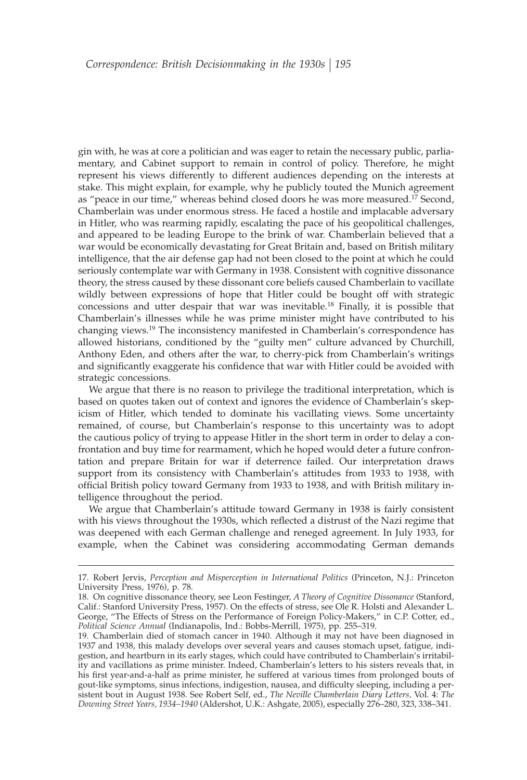gin with, he was at core a politician and was eager to retain the necessary public, parliamentary, and Cabinet support to remain in control of policy. Therefore, he might represent his views differently to different audiences depending on the interests at stake. This might explain, for example, why he publicly touted the Munich agreement as "peace in our time," whereas behind closed doors he was more measured.<sup>17</sup> Second, Chamberlain was under enormous stress. He faced a hostile and implacable adversary in Hitler, who was rearming rapidly, escalating the pace of his geopolitical challenges, and appeared to be leading Europe to the brink of war. Chamberlain believed that a war would be economically devastating for Great Britain and, based on British military intelligence, that the air defense gap had not been closed to the point at which he could seriously contemplate war with Germany in 1938. Consistent with cognitive dissonance theory, the stress caused by these dissonant core beliefs caused Chamberlain to vacillate wildly between expressions of hope that Hitler could be bought off with strategic concessions and utter despair that war was inevitable.18 Finally, it is possible that Chamberlain's illnesses while he was prime minister might have contributed to his changing views.19 The inconsistency manifested in Chamberlain's correspondence has allowed historians, conditioned by the "guilty men" culture advanced by Churchill, Anthony Eden, and others after the war, to cherry-pick from Chamberlain's writings and significantly exaggerate his confidence that war with Hitler could be avoided with strategic concessions.

We argue that there is no reason to privilege the traditional interpretation, which is based on quotes taken out of context and ignores the evidence of Chamberlain's skepicism of Hitler, which tended to dominate his vacillating views. Some uncertainty remained, of course, but Chamberlain's response to this uncertainty was to adopt the cautious policy of trying to appease Hitler in the short term in order to delay a confrontation and buy time for rearmament, which he hoped would deter a future confrontation and prepare Britain for war if deterrence failed. Our interpretation draws support from its consistency with Chamberlain's attitudes from 1933 to 1938, with official British policy toward Germany from 1933 to 1938, and with British military intelligence throughout the period.

We argue that Chamberlain's attitude toward Germany in 1938 is fairly consistent with his views throughout the 1930s, which reflected a distrust of the Nazi regime that was deepened with each German challenge and reneged agreement. In July 1933, for example, when the Cabinet was considering accommodating German demands

<sup>17.</sup> Robert Jervis, *Perception and Misperception in International Politics* (Princeton, N.J.: Princeton University Press, 1976), p. 78.

<sup>18.</sup> On cognitive dissonance theory, see Leon Festinger, *A Theory of Cognitive Dissonance* (Stanford, Calif.: Stanford University Press, 1957). On the effects of stress, see Ole R. Holsti and Alexander L. George, "The Effects of Stress on the Performance of Foreign Policy-Makers," in C.P. Cotter, ed., *Political Science Annual* (Indianapolis, Ind.: Bobbs-Merrill, 1975), pp. 255–319.

<sup>19.</sup> Chamberlain died of stomach cancer in 1940. Although it may not have been diagnosed in 1937 and 1938, this malady develops over several years and causes stomach upset, fatigue, indigestion, and heartburn in its early stages, which could have contributed to Chamberlain's irritability and vacillations as prime minister. Indeed, Chamberlain's letters to his sisters reveals that, in his first year-and-a-half as prime minister, he suffered at various times from prolonged bouts of gout-like symptoms, sinus infections, indigestion, nausea, and difficulty sleeping, including a persistent bout in August 1938. See Robert Self, ed., *The Neville Chamberlain Diary Letters,* Vol. 4: *The Downing Street Years, 1934–1940* (Aldershot, U.K.: Ashgate, 2005), especially 276–280, 323, 338–341.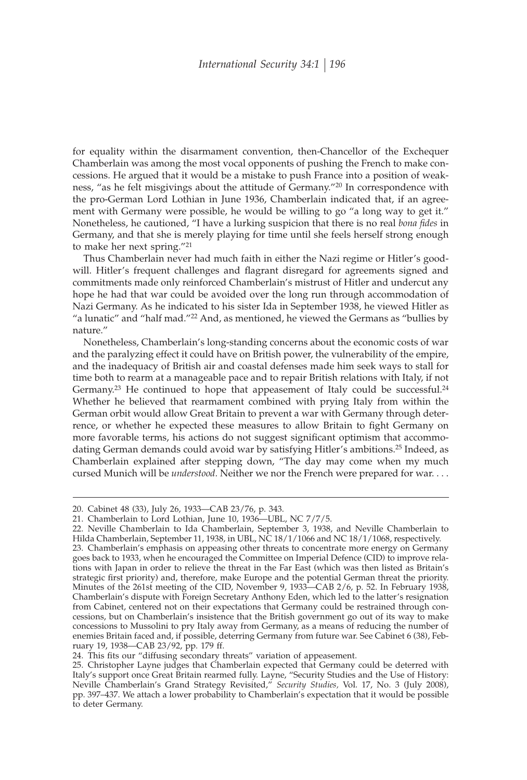for equality within the disarmament convention, then-Chancellor of the Exchequer Chamberlain was among the most vocal opponents of pushing the French to make concessions. He argued that it would be a mistake to push France into a position of weakness, "as he felt misgivings about the attitude of Germany."20 In correspondence with the pro-German Lord Lothian in June 1936, Chamberlain indicated that, if an agreement with Germany were possible, he would be willing to go "a long way to get it." Nonetheless, he cautioned, "I have a lurking suspicion that there is no real *bona fides* in Germany, and that she is merely playing for time until she feels herself strong enough to make her next spring."21

Thus Chamberlain never had much faith in either the Nazi regime or Hitler's goodwill. Hitler's frequent challenges and flagrant disregard for agreements signed and commitments made only reinforced Chamberlain's mistrust of Hitler and undercut any hope he had that war could be avoided over the long run through accommodation of Nazi Germany. As he indicated to his sister Ida in September 1938, he viewed Hitler as "a lunatic" and "half mad."22 And, as mentioned, he viewed the Germans as "bullies by nature."

Nonetheless, Chamberlain's long-standing concerns about the economic costs of war and the paralyzing effect it could have on British power, the vulnerability of the empire, and the inadequacy of British air and coastal defenses made him seek ways to stall for time both to rearm at a manageable pace and to repair British relations with Italy, if not Germany.<sup>23</sup> He continued to hope that appeasement of Italy could be successful.<sup>24</sup> Whether he believed that rearmament combined with prying Italy from within the German orbit would allow Great Britain to prevent a war with Germany through deterrence, or whether he expected these measures to allow Britain to fight Germany on more favorable terms, his actions do not suggest significant optimism that accommodating German demands could avoid war by satisfying Hitler's ambitions.25 Indeed, as Chamberlain explained after stepping down, "The day may come when my much cursed Munich will be *understood.* Neither we nor the French were prepared for war....

concessions to Mussolini to pry Italy away from Germany, as a means of reducing the number of enemies Britain faced and, if possible, deterring Germany from future war. See Cabinet 6 (38), Feb-

<sup>20.</sup> Cabinet 48 (33), July 26, 1933—CAB 23/76, p. 343.

<sup>21.</sup> Chamberlain to Lord Lothian, June 10, 1936—UBL, NC 7/7/5.

<sup>22.</sup> Neville Chamberlain to Ida Chamberlain, September 3, 1938, and Neville Chamberlain to Hilda Chamberlain, September 11, 1938, in UBL, NC 18/1/1066 and NC 18/1/1068, respectively. 23. Chamberlain's emphasis on appeasing other threats to concentrate more energy on Germany goes back to 1933, when he encouraged the Committee on Imperial Defence (CID) to improve relations with Japan in order to relieve the threat in the Far East (which was then listed as Britain's strategic first priority) and, therefore, make Europe and the potential German threat the priority. Minutes of the 261st meeting of the CID, November 9, 1933—CAB 2/6, p. 52. In February 1938, Chamberlain's dispute with Foreign Secretary Anthony Eden, which led to the latter's resignation from Cabinet, centered not on their expectations that Germany could be restrained through concessions, but on Chamberlain's insistence that the British government go out of its way to make

ruary 19, 1938—CAB 23/92, pp. 179 ff. 24. This fits our "diffusing secondary threats" variation of appeasement.

<sup>25.</sup> Christopher Layne judges that Chamberlain expected that Germany could be deterred with Italy's support once Great Britain rearmed fully. Layne, "Security Studies and the Use of History: Neville Chamberlain's Grand Strategy Revisited," *Security Studies,* Vol. 17, No. 3 (July 2008), pp. 397–437. We attach a lower probability to Chamberlain's expectation that it would be possible to deter Germany.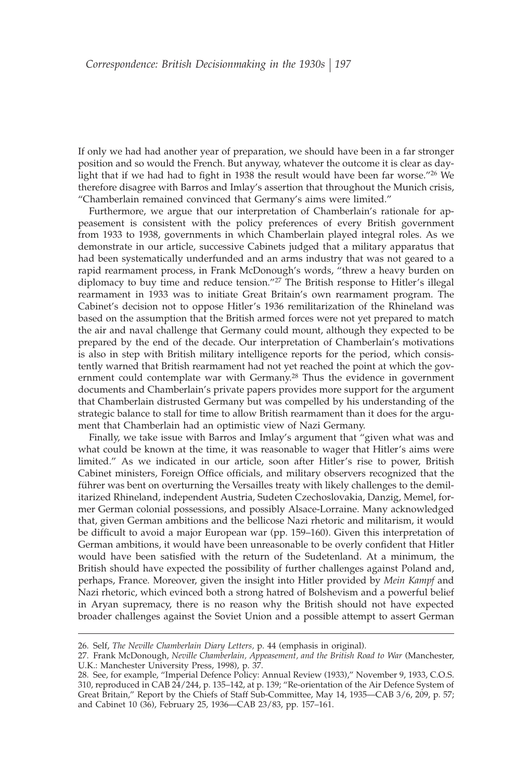If only we had had another year of preparation, we should have been in a far stronger position and so would the French. But anyway, whatever the outcome it is clear as daylight that if we had had to fight in 1938 the result would have been far worse."<sup>26</sup> We therefore disagree with Barros and Imlay's assertion that throughout the Munich crisis, "Chamberlain remained convinced that Germany's aims were limited."

Furthermore, we argue that our interpretation of Chamberlain's rationale for appeasement is consistent with the policy preferences of every British government from 1933 to 1938, governments in which Chamberlain played integral roles. As we demonstrate in our article, successive Cabinets judged that a military apparatus that had been systematically underfunded and an arms industry that was not geared to a rapid rearmament process, in Frank McDonough's words, "threw a heavy burden on diplomacy to buy time and reduce tension."27 The British response to Hitler's illegal rearmament in 1933 was to initiate Great Britain's own rearmament program. The Cabinet's decision not to oppose Hitler's 1936 remilitarization of the Rhineland was based on the assumption that the British armed forces were not yet prepared to match the air and naval challenge that Germany could mount, although they expected to be prepared by the end of the decade. Our interpretation of Chamberlain's motivations is also in step with British military intelligence reports for the period, which consistently warned that British rearmament had not yet reached the point at which the government could contemplate war with Germany.28 Thus the evidence in government documents and Chamberlain's private papers provides more support for the argument that Chamberlain distrusted Germany but was compelled by his understanding of the strategic balance to stall for time to allow British rearmament than it does for the argument that Chamberlain had an optimistic view of Nazi Germany.

Finally, we take issue with Barros and Imlay's argument that "given what was and what could be known at the time, it was reasonable to wager that Hitler's aims were limited." As we indicated in our article, soon after Hitler's rise to power, British Cabinet ministers, Foreign Office officials, and military observers recognized that the führer was bent on overturning the Versailles treaty with likely challenges to the demilitarized Rhineland, independent Austria, Sudeten Czechoslovakia, Danzig, Memel, former German colonial possessions, and possibly Alsace-Lorraine. Many acknowledged that, given German ambitions and the bellicose Nazi rhetoric and militarism, it would be difficult to avoid a major European war (pp. 159-160). Given this interpretation of German ambitions, it would have been unreasonable to be overly confident that Hitler would have been satisfied with the return of the Sudetenland. At a minimum, the British should have expected the possibility of further challenges against Poland and, perhaps, France. Moreover, given the insight into Hitler provided by *Mein Kampf* and Nazi rhetoric, which evinced both a strong hatred of Bolshevism and a powerful belief in Aryan supremacy, there is no reason why the British should not have expected broader challenges against the Soviet Union and a possible attempt to assert German

<sup>26.</sup> Self, *The Neville Chamberlain Diary Letters,* p. 44 (emphasis in original).

<sup>27.</sup> Frank McDonough, *Neville Chamberlain, Appeasement, and the British Road to War* (Manchester, U.K.: Manchester University Press, 1998), p. 37.

<sup>28.</sup> See, for example, "Imperial Defence Policy: Annual Review (1933)," November 9, 1933, C.O.S. 310, reproduced in CAB 24/244, p. 135–142, at p. 139; "Re-orientation of the Air Defence System of Great Britain," Report by the Chiefs of Staff Sub-Committee, May 14, 1935—CAB 3/6, 209, p. 57; and Cabinet 10 (36), February 25, 1936—CAB 23/83, pp. 157–161.